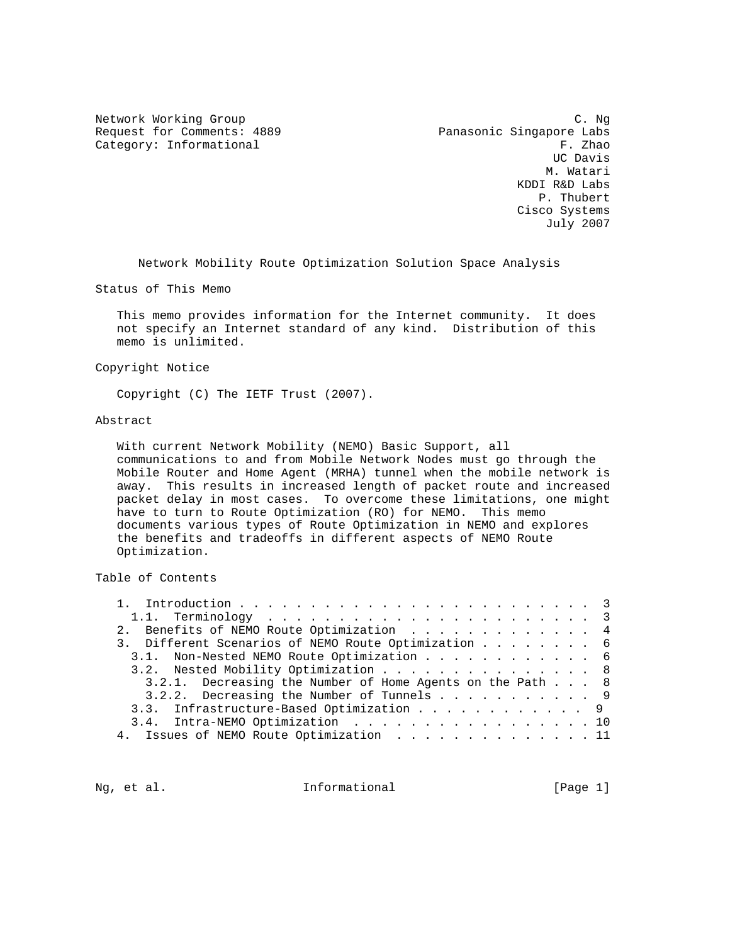Request for Comments: 4889 Panasonic Singapore Labs<br>Category: Informational F. Zhao

Network Working Group C. Ng Category: Informational F. Zhao<br>
UC Davis UC Davis M. Watari KDDI R&D Labs P. Thubert Cisco Systems July 2007

Network Mobility Route Optimization Solution Space Analysis

Status of This Memo

 This memo provides information for the Internet community. It does not specify an Internet standard of any kind. Distribution of this memo is unlimited.

Copyright Notice

Copyright (C) The IETF Trust (2007).

#### Abstract

 With current Network Mobility (NEMO) Basic Support, all communications to and from Mobile Network Nodes must go through the Mobile Router and Home Agent (MRHA) tunnel when the mobile network is away. This results in increased length of packet route and increased packet delay in most cases. To overcome these limitations, one might have to turn to Route Optimization (RO) for NEMO. This memo documents various types of Route Optimization in NEMO and explores the benefits and tradeoffs in different aspects of NEMO Route Optimization.

Table of Contents

| 2. Benefits of NEMO Route Optimization 4                  |
|-----------------------------------------------------------|
| 3. Different Scenarios of NEMO Route Optimization 6       |
| 3.1. Non-Nested NEMO Route Optimization 6                 |
| 3.2. Nested Mobility Optimization 8                       |
| 3.2.1. Decreasing the Number of Home Agents on the Path 8 |
| 3.2.2. Decreasing the Number of Tunnels 9                 |
| 3.3. Infrastructure-Based Optimization 9                  |
| 3.4. Intra-NEMO Optimization 10                           |
| 4. Issues of NEMO Route Optimization 11                   |

Ng, et al.  $I_n$  Informational [Page 1]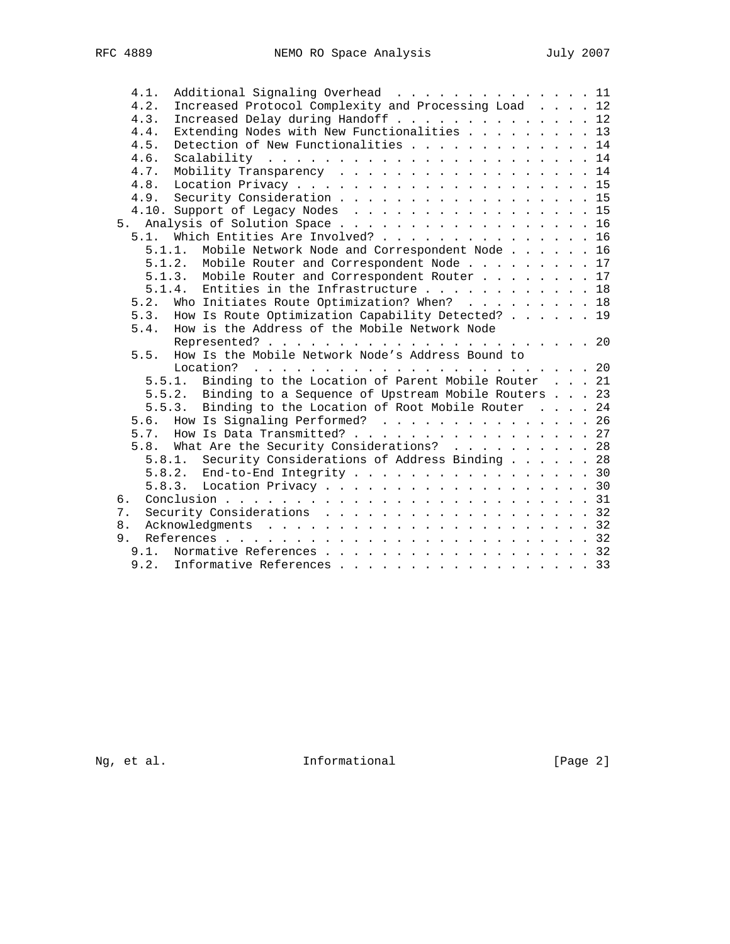|    | 4.1.   | Additional Signaling Overhead 11                           |  |
|----|--------|------------------------------------------------------------|--|
|    | 4.2.   | Increased Protocol Complexity and Processing Load 12       |  |
|    | 4.3.   | Increased Delay during Handoff 12                          |  |
|    | 4.4.   | Extending Nodes with New Functionalities 13                |  |
|    | 4.5.   | Detection of New Functionalities 14                        |  |
|    | 4.6.   |                                                            |  |
|    | 4.7.   | Mobility Transparency 14                                   |  |
|    | 4.8.   |                                                            |  |
|    |        | 4.9. Security Consideration 15                             |  |
|    |        | 4.10. Support of Legacy Nodes 15                           |  |
|    |        | 5. Analysis of Solution Space 16                           |  |
|    | 5.1.   | Which Entities Are Involved? 16                            |  |
|    | 5.1.1. | Mobile Network Node and Correspondent Node 16              |  |
|    |        | 5.1.2. Mobile Router and Correspondent Node 17             |  |
|    |        | 5.1.3. Mobile Router and Correspondent Router 17           |  |
|    |        | Entities in the Infrastructure 18<br>5.1.4.                |  |
|    | 5.2.   | Who Initiates Route Optimization? When? 18                 |  |
|    | 5.3.   | How Is Route Optimization Capability Detected? 19          |  |
|    | 5.4.   | How is the Address of the Mobile Network Node              |  |
|    |        |                                                            |  |
|    | 5.5.   | How Is the Mobile Network Node's Address Bound to          |  |
|    |        | Location?                                                  |  |
|    |        | 5.5.1. Binding to the Location of Parent Mobile Router 21  |  |
|    |        | 5.5.2. Binding to a Sequence of Upstream Mobile Routers 23 |  |
|    |        | 5.5.3. Binding to the Location of Root Mobile Router 24    |  |
|    |        | 5.6. How Is Signaling Performed? 26                        |  |
|    |        | 5.7. How Is Data Transmitted? 27                           |  |
|    |        | 5.8. What Are the Security Considerations? 28              |  |
|    |        | 5.8.1. Security Considerations of Address Binding 28       |  |
|    |        | 5.8.2. End-to-End Integrity 30                             |  |
|    |        | 5.8.3. Location Privacy 30                                 |  |
| б. |        |                                                            |  |
| 7. |        | Security Considerations 32                                 |  |
| 8. |        |                                                            |  |
|    | 9.     |                                                            |  |
|    |        | 9.1. Normative References 32                               |  |
|    | 9.2.   | Informative References 33                                  |  |
|    |        |                                                            |  |

Ng, et al. 1nformational 1999 [Page 2]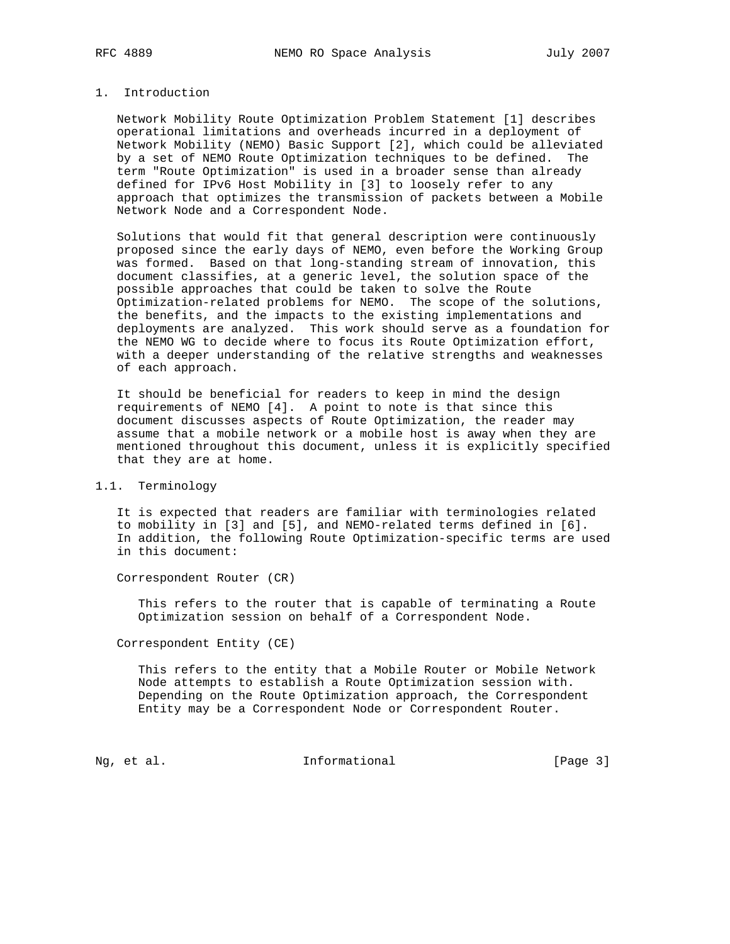# 1. Introduction

 Network Mobility Route Optimization Problem Statement [1] describes operational limitations and overheads incurred in a deployment of Network Mobility (NEMO) Basic Support [2], which could be alleviated by a set of NEMO Route Optimization techniques to be defined. The term "Route Optimization" is used in a broader sense than already defined for IPv6 Host Mobility in [3] to loosely refer to any approach that optimizes the transmission of packets between a Mobile Network Node and a Correspondent Node.

 Solutions that would fit that general description were continuously proposed since the early days of NEMO, even before the Working Group was formed. Based on that long-standing stream of innovation, this document classifies, at a generic level, the solution space of the possible approaches that could be taken to solve the Route Optimization-related problems for NEMO. The scope of the solutions, the benefits, and the impacts to the existing implementations and deployments are analyzed. This work should serve as a foundation for the NEMO WG to decide where to focus its Route Optimization effort, with a deeper understanding of the relative strengths and weaknesses of each approach.

 It should be beneficial for readers to keep in mind the design requirements of NEMO [4]. A point to note is that since this document discusses aspects of Route Optimization, the reader may assume that a mobile network or a mobile host is away when they are mentioned throughout this document, unless it is explicitly specified that they are at home.

### 1.1. Terminology

 It is expected that readers are familiar with terminologies related to mobility in [3] and [5], and NEMO-related terms defined in [6]. In addition, the following Route Optimization-specific terms are used in this document:

Correspondent Router (CR)

 This refers to the router that is capable of terminating a Route Optimization session on behalf of a Correspondent Node.

Correspondent Entity (CE)

 This refers to the entity that a Mobile Router or Mobile Network Node attempts to establish a Route Optimization session with. Depending on the Route Optimization approach, the Correspondent Entity may be a Correspondent Node or Correspondent Router.

Ng, et al. 1. Informational 1. [Page 3]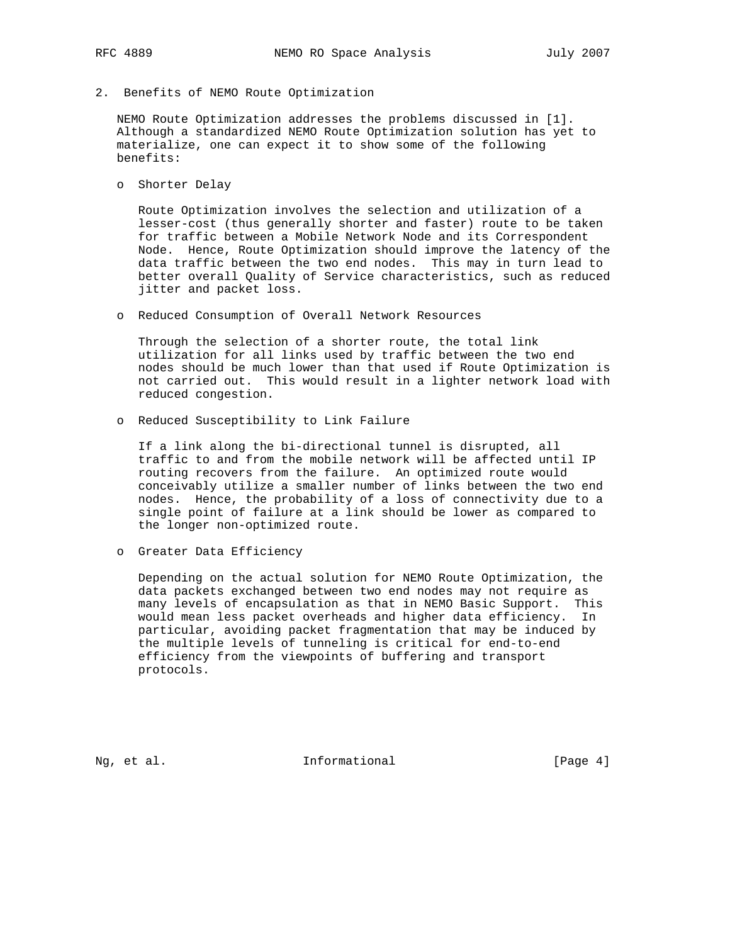2. Benefits of NEMO Route Optimization

 NEMO Route Optimization addresses the problems discussed in [1]. Although a standardized NEMO Route Optimization solution has yet to materialize, one can expect it to show some of the following benefits:

o Shorter Delay

 Route Optimization involves the selection and utilization of a lesser-cost (thus generally shorter and faster) route to be taken for traffic between a Mobile Network Node and its Correspondent Node. Hence, Route Optimization should improve the latency of the data traffic between the two end nodes. This may in turn lead to better overall Quality of Service characteristics, such as reduced jitter and packet loss.

o Reduced Consumption of Overall Network Resources

 Through the selection of a shorter route, the total link utilization for all links used by traffic between the two end nodes should be much lower than that used if Route Optimization is not carried out. This would result in a lighter network load with reduced congestion.

o Reduced Susceptibility to Link Failure

 If a link along the bi-directional tunnel is disrupted, all traffic to and from the mobile network will be affected until IP routing recovers from the failure. An optimized route would conceivably utilize a smaller number of links between the two end nodes. Hence, the probability of a loss of connectivity due to a single point of failure at a link should be lower as compared to the longer non-optimized route.

o Greater Data Efficiency

 Depending on the actual solution for NEMO Route Optimization, the data packets exchanged between two end nodes may not require as many levels of encapsulation as that in NEMO Basic Support. This would mean less packet overheads and higher data efficiency. In particular, avoiding packet fragmentation that may be induced by the multiple levels of tunneling is critical for end-to-end efficiency from the viewpoints of buffering and transport protocols.

Ng, et al. 10. Informational 1. [Page 4]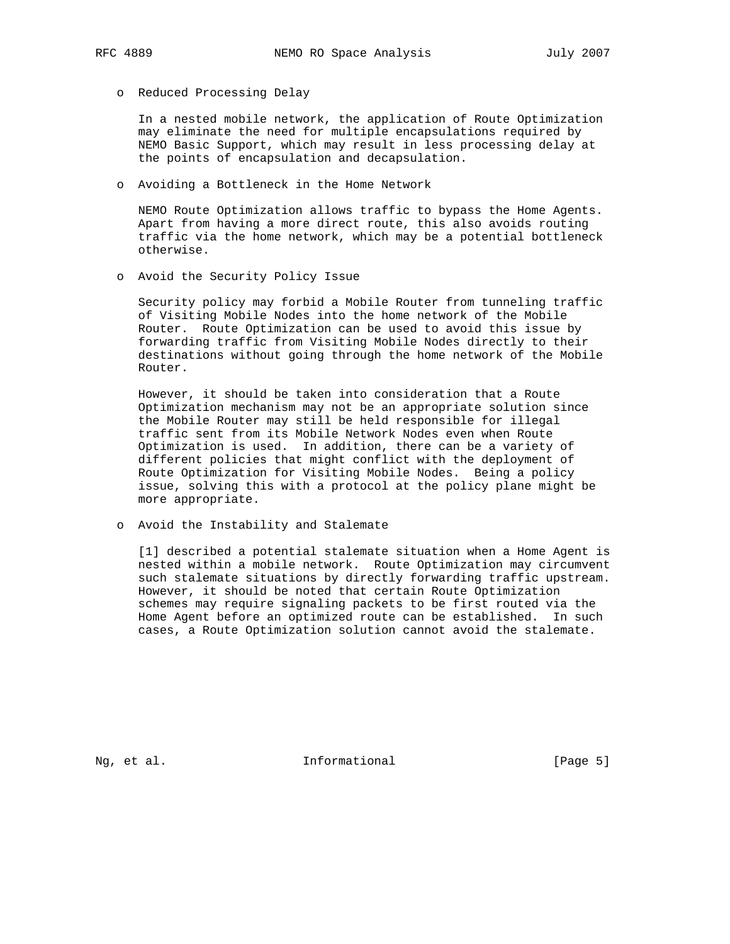o Reduced Processing Delay

 In a nested mobile network, the application of Route Optimization may eliminate the need for multiple encapsulations required by NEMO Basic Support, which may result in less processing delay at the points of encapsulation and decapsulation.

o Avoiding a Bottleneck in the Home Network

 NEMO Route Optimization allows traffic to bypass the Home Agents. Apart from having a more direct route, this also avoids routing traffic via the home network, which may be a potential bottleneck otherwise.

o Avoid the Security Policy Issue

 Security policy may forbid a Mobile Router from tunneling traffic of Visiting Mobile Nodes into the home network of the Mobile Router. Route Optimization can be used to avoid this issue by forwarding traffic from Visiting Mobile Nodes directly to their destinations without going through the home network of the Mobile Router.

 However, it should be taken into consideration that a Route Optimization mechanism may not be an appropriate solution since the Mobile Router may still be held responsible for illegal traffic sent from its Mobile Network Nodes even when Route Optimization is used. In addition, there can be a variety of different policies that might conflict with the deployment of Route Optimization for Visiting Mobile Nodes. Being a policy issue, solving this with a protocol at the policy plane might be more appropriate.

o Avoid the Instability and Stalemate

 [1] described a potential stalemate situation when a Home Agent is nested within a mobile network. Route Optimization may circumvent such stalemate situations by directly forwarding traffic upstream. However, it should be noted that certain Route Optimization schemes may require signaling packets to be first routed via the Home Agent before an optimized route can be established. In such cases, a Route Optimization solution cannot avoid the stalemate.

Ng, et al. 10. Informational 1. [Page 5]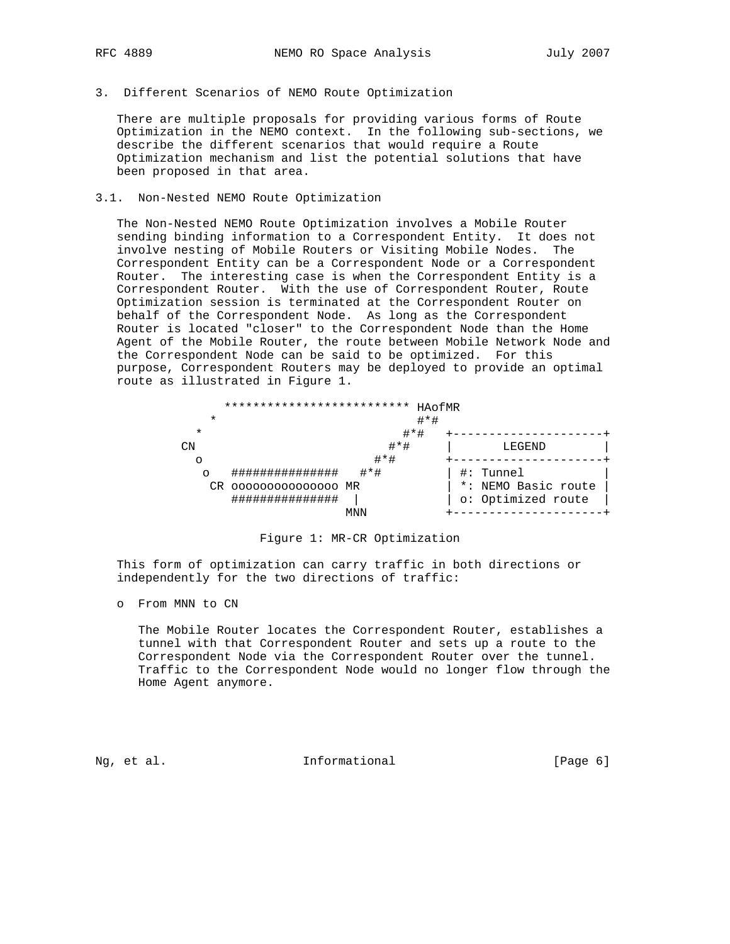- 
- 3. Different Scenarios of NEMO Route Optimization

 There are multiple proposals for providing various forms of Route Optimization in the NEMO context. In the following sub-sections, we describe the different scenarios that would require a Route Optimization mechanism and list the potential solutions that have been proposed in that area.

#### 3.1. Non-Nested NEMO Route Optimization

 The Non-Nested NEMO Route Optimization involves a Mobile Router sending binding information to a Correspondent Entity. It does not involve nesting of Mobile Routers or Visiting Mobile Nodes. The Correspondent Entity can be a Correspondent Node or a Correspondent Router. The interesting case is when the Correspondent Entity is a Correspondent Router. With the use of Correspondent Router, Route Optimization session is terminated at the Correspondent Router on behalf of the Correspondent Node. As long as the Correspondent Router is located "closer" to the Correspondent Node than the Home Agent of the Mobile Router, the route between Mobile Network Node and the Correspondent Node can be said to be optimized. For this purpose, Correspondent Routers may be deployed to provide an optimal route as illustrated in Figure 1.

| ************************** |         | HAofMR              |
|----------------------------|---------|---------------------|
| $\star$                    |         | $# * #$             |
| $\ast$                     | $#*#$   |                     |
| CΝ                         | $# * #$ | LEGEND              |
| $\circ$                    | $# * #$ |                     |
| **************<br>$\circ$  | $# * #$ | Tunnel<br>$\#$ :    |
| CR 000000000000000 MR      |         | *: NEMO Basic route |
| ###############            |         | o: Optimized route  |
|                            | MNN     |                     |



 This form of optimization can carry traffic in both directions or independently for the two directions of traffic:

o From MNN to CN

 The Mobile Router locates the Correspondent Router, establishes a tunnel with that Correspondent Router and sets up a route to the Correspondent Node via the Correspondent Router over the tunnel. Traffic to the Correspondent Node would no longer flow through the Home Agent anymore.

Ng, et al.  $I_n$  Informational [Page 6]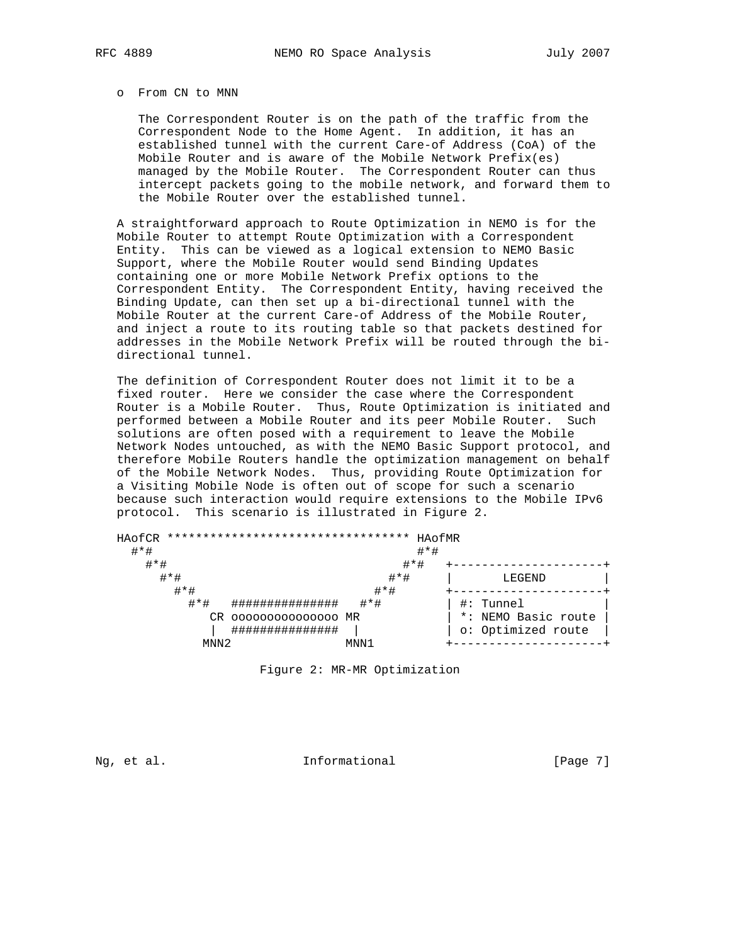#### o From CN to MNN

 The Correspondent Router is on the path of the traffic from the Correspondent Node to the Home Agent. In addition, it has an established tunnel with the current Care-of Address (CoA) of the Mobile Router and is aware of the Mobile Network Prefix(es) managed by the Mobile Router. The Correspondent Router can thus intercept packets going to the mobile network, and forward them to the Mobile Router over the established tunnel.

 A straightforward approach to Route Optimization in NEMO is for the Mobile Router to attempt Route Optimization with a Correspondent Entity. This can be viewed as a logical extension to NEMO Basic Support, where the Mobile Router would send Binding Updates containing one or more Mobile Network Prefix options to the Correspondent Entity. The Correspondent Entity, having received the Binding Update, can then set up a bi-directional tunnel with the Mobile Router at the current Care-of Address of the Mobile Router, and inject a route to its routing table so that packets destined for addresses in the Mobile Network Prefix will be routed through the bi directional tunnel.

 The definition of Correspondent Router does not limit it to be a fixed router. Here we consider the case where the Correspondent Router is a Mobile Router. Thus, Route Optimization is initiated and performed between a Mobile Router and its peer Mobile Router. Such solutions are often posed with a requirement to leave the Mobile Network Nodes untouched, as with the NEMO Basic Support protocol, and therefore Mobile Routers handle the optimization management on behalf of the Mobile Network Nodes. Thus, providing Route Optimization for a Visiting Mobile Node is often out of scope for such a scenario because such interaction would require extensions to the Mobile IPv6 protocol. This scenario is illustrated in Figure 2.

| HAofCR<br>$# * #$             | **********************************<br>HAOfMR<br>$# * #$                            |                                                           |
|-------------------------------|------------------------------------------------------------------------------------|-----------------------------------------------------------|
| $# * #$<br>$# * #$<br>$# * #$ | $# * #$<br>$#*#$<br>$# * #$                                                        | LEGEND                                                    |
| $#*#$<br>CR                   | $# * #$<br>**************<br>000000000000000 MR<br>+ + + + + + + + + + + + + + + + | Tunnel<br>♯:<br>*: NEMO Basic route<br>o: Optimized route |
| MNN <sub>2</sub>              | MNN 1                                                                              |                                                           |

Figure 2: MR-MR Optimization

Ng, et al. 11. Informational 11. [Page 7]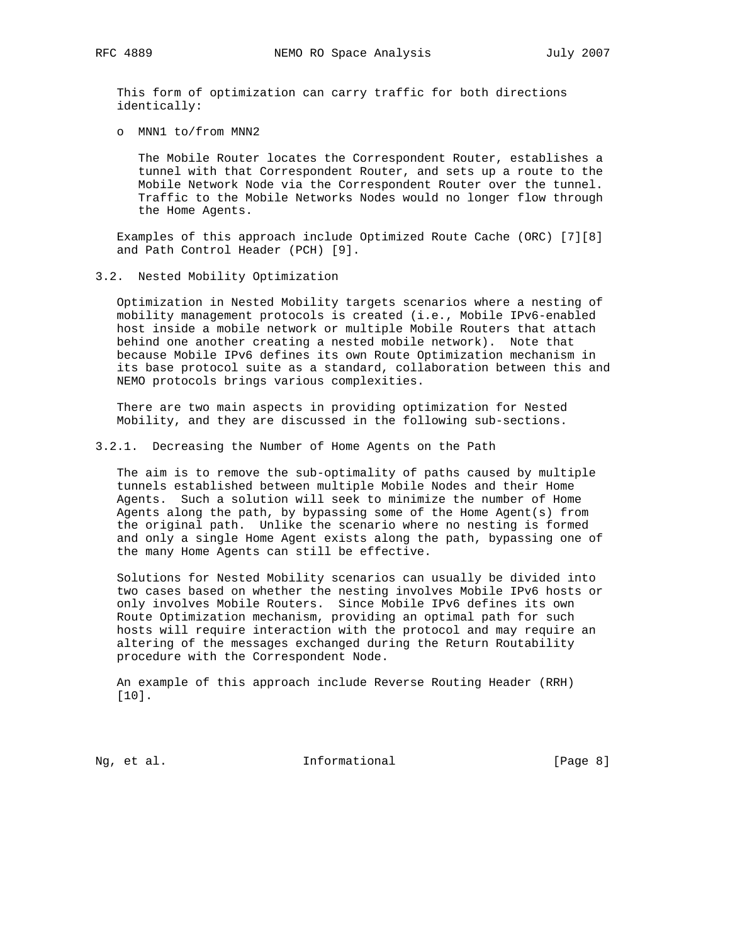This form of optimization can carry traffic for both directions identically:

o MNN1 to/from MNN2

 The Mobile Router locates the Correspondent Router, establishes a tunnel with that Correspondent Router, and sets up a route to the Mobile Network Node via the Correspondent Router over the tunnel. Traffic to the Mobile Networks Nodes would no longer flow through the Home Agents.

 Examples of this approach include Optimized Route Cache (ORC) [7][8] and Path Control Header (PCH) [9].

3.2. Nested Mobility Optimization

 Optimization in Nested Mobility targets scenarios where a nesting of mobility management protocols is created (i.e., Mobile IPv6-enabled host inside a mobile network or multiple Mobile Routers that attach behind one another creating a nested mobile network). Note that because Mobile IPv6 defines its own Route Optimization mechanism in its base protocol suite as a standard, collaboration between this and NEMO protocols brings various complexities.

 There are two main aspects in providing optimization for Nested Mobility, and they are discussed in the following sub-sections.

3.2.1. Decreasing the Number of Home Agents on the Path

 The aim is to remove the sub-optimality of paths caused by multiple tunnels established between multiple Mobile Nodes and their Home Agents. Such a solution will seek to minimize the number of Home Agents along the path, by bypassing some of the Home Agent(s) from the original path. Unlike the scenario where no nesting is formed and only a single Home Agent exists along the path, bypassing one of the many Home Agents can still be effective.

 Solutions for Nested Mobility scenarios can usually be divided into two cases based on whether the nesting involves Mobile IPv6 hosts or only involves Mobile Routers. Since Mobile IPv6 defines its own Route Optimization mechanism, providing an optimal path for such hosts will require interaction with the protocol and may require an altering of the messages exchanged during the Return Routability procedure with the Correspondent Node.

 An example of this approach include Reverse Routing Header (RRH) [10].

Ng, et al. 11. Informational 1. [Page 8]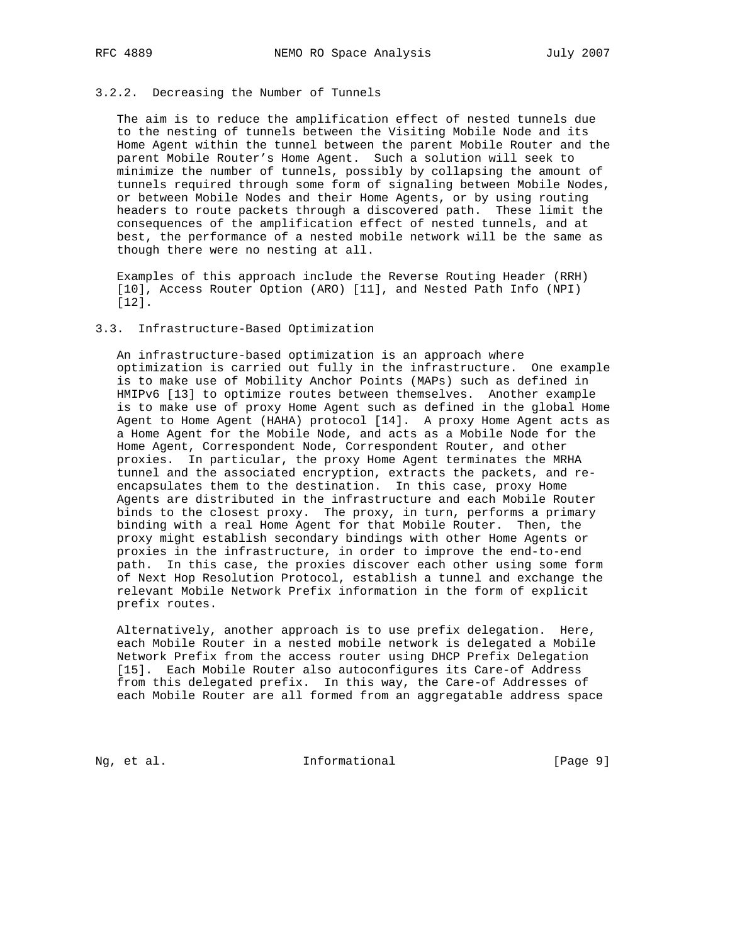# 3.2.2. Decreasing the Number of Tunnels

 The aim is to reduce the amplification effect of nested tunnels due to the nesting of tunnels between the Visiting Mobile Node and its Home Agent within the tunnel between the parent Mobile Router and the parent Mobile Router's Home Agent. Such a solution will seek to minimize the number of tunnels, possibly by collapsing the amount of tunnels required through some form of signaling between Mobile Nodes, or between Mobile Nodes and their Home Agents, or by using routing headers to route packets through a discovered path. These limit the consequences of the amplification effect of nested tunnels, and at best, the performance of a nested mobile network will be the same as though there were no nesting at all.

 Examples of this approach include the Reverse Routing Header (RRH) [10], Access Router Option (ARO) [11], and Nested Path Info (NPI) [12].

# 3.3. Infrastructure-Based Optimization

 An infrastructure-based optimization is an approach where optimization is carried out fully in the infrastructure. One example is to make use of Mobility Anchor Points (MAPs) such as defined in HMIPv6 [13] to optimize routes between themselves. Another example is to make use of proxy Home Agent such as defined in the global Home Agent to Home Agent (HAHA) protocol [14]. A proxy Home Agent acts as a Home Agent for the Mobile Node, and acts as a Mobile Node for the Home Agent, Correspondent Node, Correspondent Router, and other proxies. In particular, the proxy Home Agent terminates the MRHA tunnel and the associated encryption, extracts the packets, and re encapsulates them to the destination. In this case, proxy Home Agents are distributed in the infrastructure and each Mobile Router binds to the closest proxy. The proxy, in turn, performs a primary binding with a real Home Agent for that Mobile Router. Then, the proxy might establish secondary bindings with other Home Agents or proxies in the infrastructure, in order to improve the end-to-end path. In this case, the proxies discover each other using some form of Next Hop Resolution Protocol, establish a tunnel and exchange the relevant Mobile Network Prefix information in the form of explicit prefix routes.

 Alternatively, another approach is to use prefix delegation. Here, each Mobile Router in a nested mobile network is delegated a Mobile Network Prefix from the access router using DHCP Prefix Delegation [15]. Each Mobile Router also autoconfigures its Care-of Address from this delegated prefix. In this way, the Care-of Addresses of each Mobile Router are all formed from an aggregatable address space

Ng, et al. 10. Informational 1. [Page 9]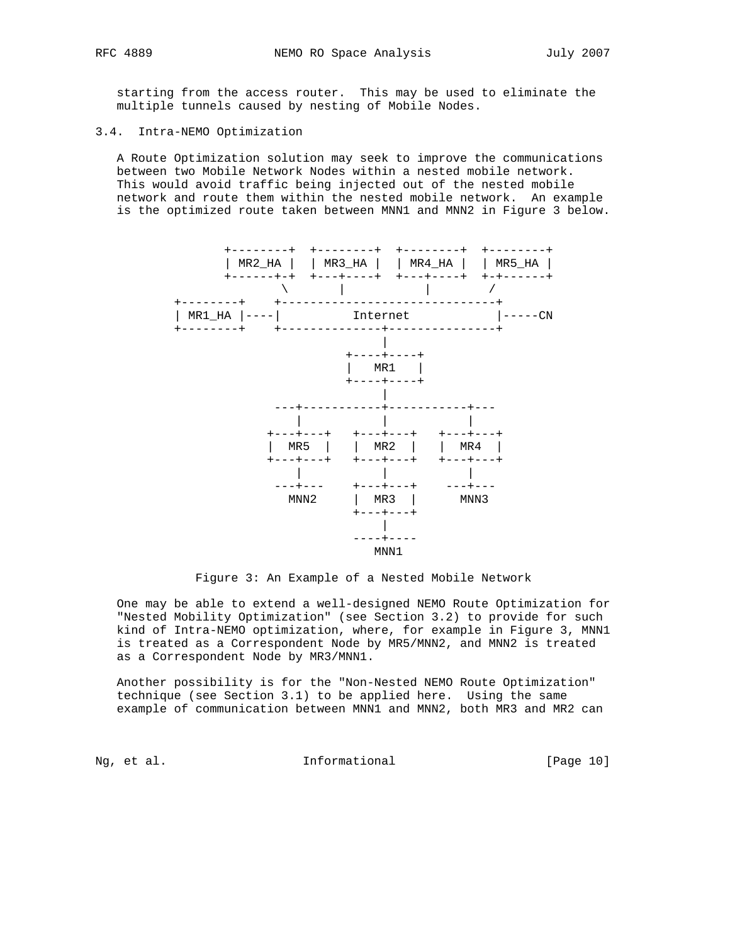starting from the access router. This may be used to eliminate the multiple tunnels caused by nesting of Mobile Nodes.

# 3.4. Intra-NEMO Optimization

 A Route Optimization solution may seek to improve the communications between two Mobile Network Nodes within a nested mobile network. This would avoid traffic being injected out of the nested mobile network and route them within the nested mobile network. An example is the optimized route taken between MNN1 and MNN2 in Figure 3 below.



Figure 3: An Example of a Nested Mobile Network

 One may be able to extend a well-designed NEMO Route Optimization for "Nested Mobility Optimization" (see Section 3.2) to provide for such kind of Intra-NEMO optimization, where, for example in Figure 3, MNN1 is treated as a Correspondent Node by MR5/MNN2, and MNN2 is treated as a Correspondent Node by MR3/MNN1.

 Another possibility is for the "Non-Nested NEMO Route Optimization" technique (see Section 3.1) to be applied here. Using the same example of communication between MNN1 and MNN2, both MR3 and MR2 can

Ng, et al. 10. Informational 1. [Page 10]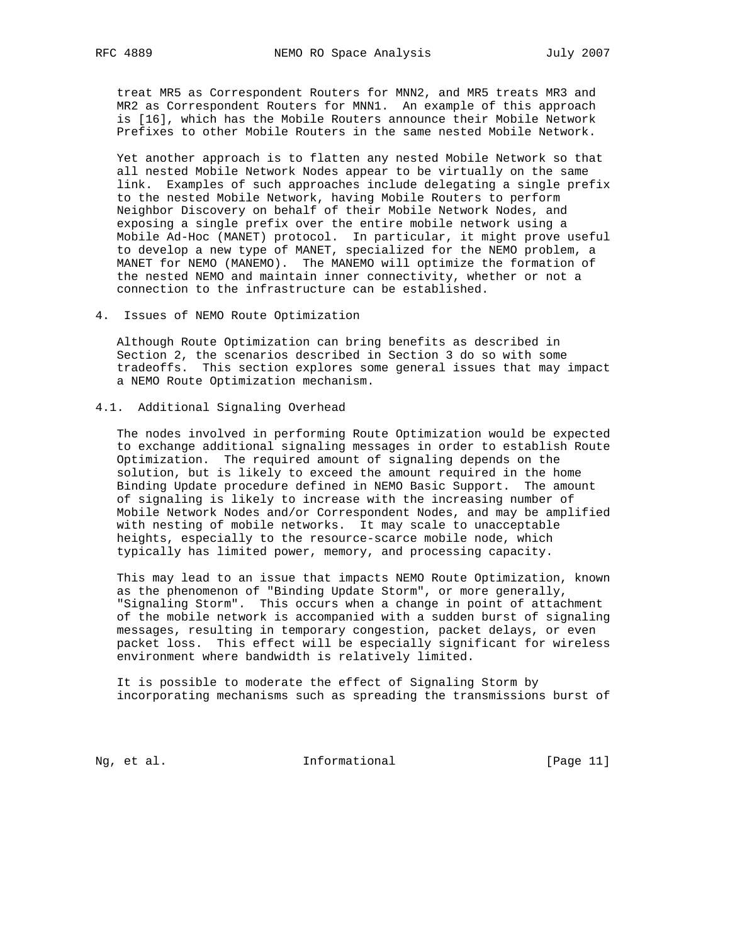treat MR5 as Correspondent Routers for MNN2, and MR5 treats MR3 and MR2 as Correspondent Routers for MNN1. An example of this approach is [16], which has the Mobile Routers announce their Mobile Network Prefixes to other Mobile Routers in the same nested Mobile Network.

 Yet another approach is to flatten any nested Mobile Network so that all nested Mobile Network Nodes appear to be virtually on the same link. Examples of such approaches include delegating a single prefix to the nested Mobile Network, having Mobile Routers to perform Neighbor Discovery on behalf of their Mobile Network Nodes, and exposing a single prefix over the entire mobile network using a Mobile Ad-Hoc (MANET) protocol. In particular, it might prove useful to develop a new type of MANET, specialized for the NEMO problem, a MANET for NEMO (MANEMO). The MANEMO will optimize the formation of the nested NEMO and maintain inner connectivity, whether or not a connection to the infrastructure can be established.

4. Issues of NEMO Route Optimization

 Although Route Optimization can bring benefits as described in Section 2, the scenarios described in Section 3 do so with some tradeoffs. This section explores some general issues that may impact a NEMO Route Optimization mechanism.

#### 4.1. Additional Signaling Overhead

 The nodes involved in performing Route Optimization would be expected to exchange additional signaling messages in order to establish Route Optimization. The required amount of signaling depends on the solution, but is likely to exceed the amount required in the home Binding Update procedure defined in NEMO Basic Support. The amount of signaling is likely to increase with the increasing number of Mobile Network Nodes and/or Correspondent Nodes, and may be amplified with nesting of mobile networks. It may scale to unacceptable heights, especially to the resource-scarce mobile node, which typically has limited power, memory, and processing capacity.

 This may lead to an issue that impacts NEMO Route Optimization, known as the phenomenon of "Binding Update Storm", or more generally, "Signaling Storm". This occurs when a change in point of attachment of the mobile network is accompanied with a sudden burst of signaling messages, resulting in temporary congestion, packet delays, or even packet loss. This effect will be especially significant for wireless environment where bandwidth is relatively limited.

 It is possible to moderate the effect of Signaling Storm by incorporating mechanisms such as spreading the transmissions burst of

Ng, et al. 11 11 Informational 1999 [Page 11]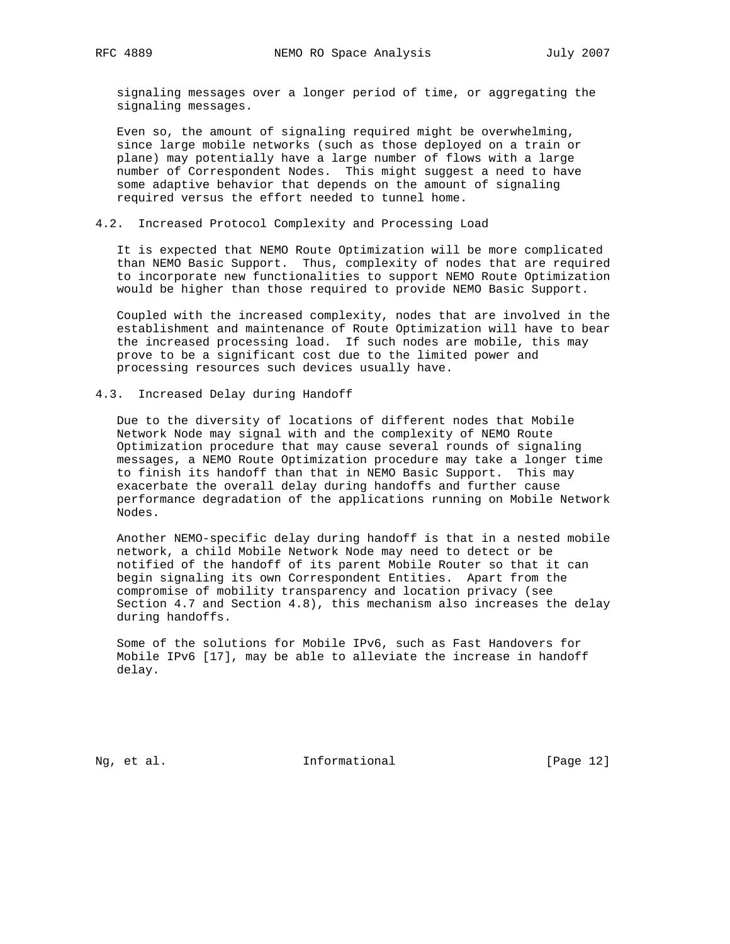signaling messages over a longer period of time, or aggregating the signaling messages.

 Even so, the amount of signaling required might be overwhelming, since large mobile networks (such as those deployed on a train or plane) may potentially have a large number of flows with a large number of Correspondent Nodes. This might suggest a need to have some adaptive behavior that depends on the amount of signaling required versus the effort needed to tunnel home.

### 4.2. Increased Protocol Complexity and Processing Load

 It is expected that NEMO Route Optimization will be more complicated than NEMO Basic Support. Thus, complexity of nodes that are required to incorporate new functionalities to support NEMO Route Optimization would be higher than those required to provide NEMO Basic Support.

 Coupled with the increased complexity, nodes that are involved in the establishment and maintenance of Route Optimization will have to bear the increased processing load. If such nodes are mobile, this may prove to be a significant cost due to the limited power and processing resources such devices usually have.

#### 4.3. Increased Delay during Handoff

 Due to the diversity of locations of different nodes that Mobile Network Node may signal with and the complexity of NEMO Route Optimization procedure that may cause several rounds of signaling messages, a NEMO Route Optimization procedure may take a longer time to finish its handoff than that in NEMO Basic Support. This may exacerbate the overall delay during handoffs and further cause performance degradation of the applications running on Mobile Network Nodes.

 Another NEMO-specific delay during handoff is that in a nested mobile network, a child Mobile Network Node may need to detect or be notified of the handoff of its parent Mobile Router so that it can begin signaling its own Correspondent Entities. Apart from the compromise of mobility transparency and location privacy (see Section 4.7 and Section 4.8), this mechanism also increases the delay during handoffs.

 Some of the solutions for Mobile IPv6, such as Fast Handovers for Mobile IPv6 [17], may be able to alleviate the increase in handoff delay.

Ng, et al. 10. Informational 1. [Page 12]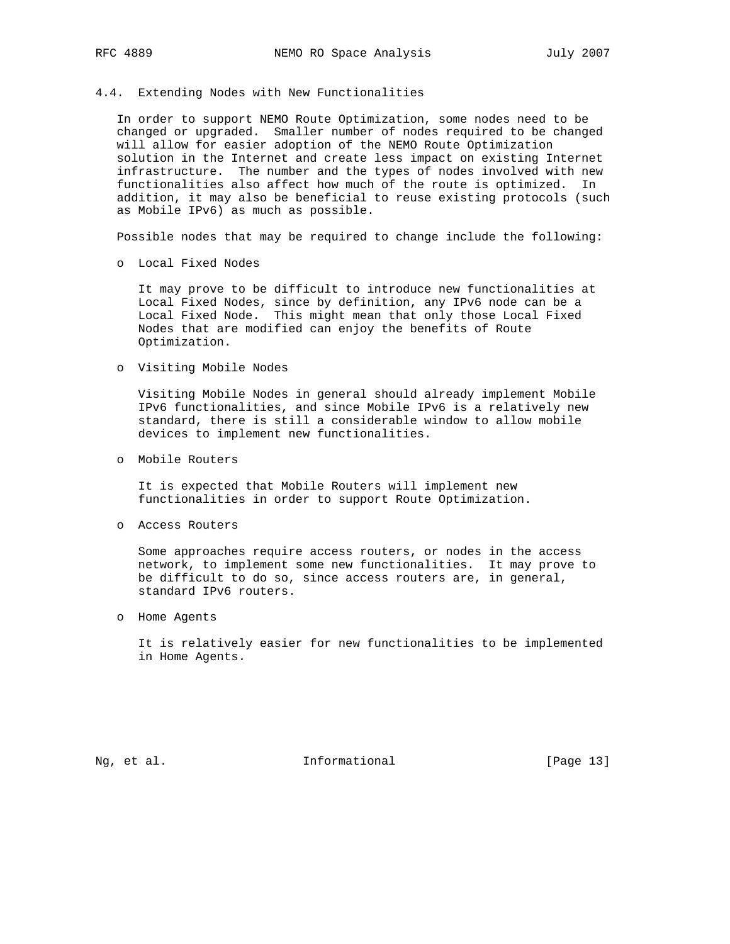#### 4.4. Extending Nodes with New Functionalities

 In order to support NEMO Route Optimization, some nodes need to be changed or upgraded. Smaller number of nodes required to be changed will allow for easier adoption of the NEMO Route Optimization solution in the Internet and create less impact on existing Internet infrastructure. The number and the types of nodes involved with new functionalities also affect how much of the route is optimized. In addition, it may also be beneficial to reuse existing protocols (such as Mobile IPv6) as much as possible.

Possible nodes that may be required to change include the following:

o Local Fixed Nodes

 It may prove to be difficult to introduce new functionalities at Local Fixed Nodes, since by definition, any IPv6 node can be a Local Fixed Node. This might mean that only those Local Fixed Nodes that are modified can enjoy the benefits of Route Optimization.

o Visiting Mobile Nodes

 Visiting Mobile Nodes in general should already implement Mobile IPv6 functionalities, and since Mobile IPv6 is a relatively new standard, there is still a considerable window to allow mobile devices to implement new functionalities.

o Mobile Routers

 It is expected that Mobile Routers will implement new functionalities in order to support Route Optimization.

o Access Routers

 Some approaches require access routers, or nodes in the access network, to implement some new functionalities. It may prove to be difficult to do so, since access routers are, in general, standard IPv6 routers.

o Home Agents

 It is relatively easier for new functionalities to be implemented in Home Agents.

Ng, et al. 11. Informational 11. [Page 13]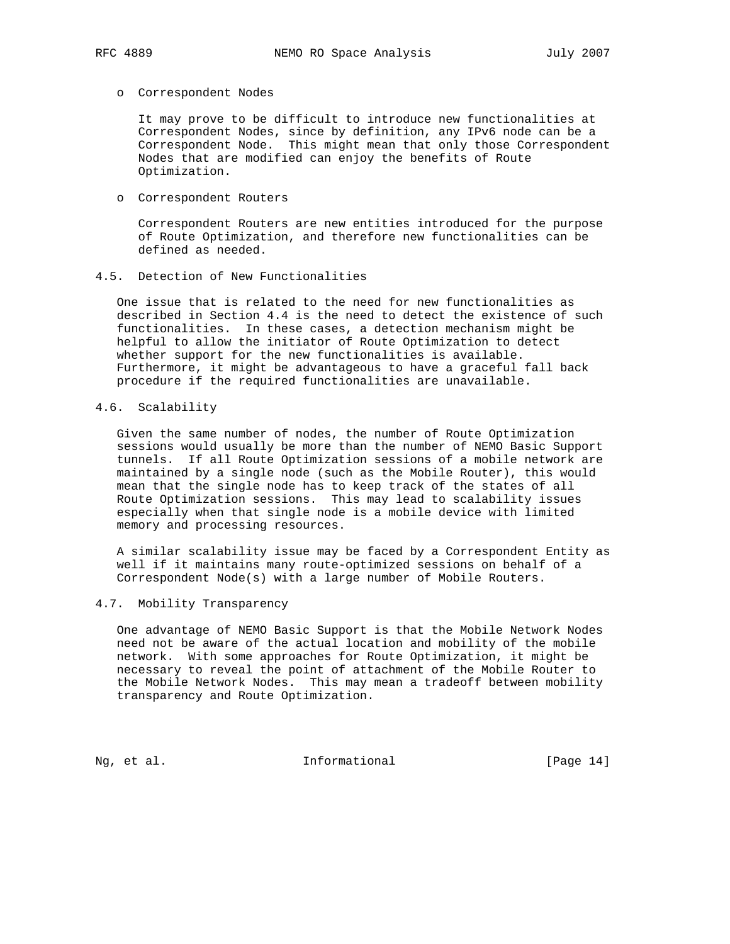# o Correspondent Nodes

 It may prove to be difficult to introduce new functionalities at Correspondent Nodes, since by definition, any IPv6 node can be a Correspondent Node. This might mean that only those Correspondent Nodes that are modified can enjoy the benefits of Route Optimization.

o Correspondent Routers

 Correspondent Routers are new entities introduced for the purpose of Route Optimization, and therefore new functionalities can be defined as needed.

4.5. Detection of New Functionalities

 One issue that is related to the need for new functionalities as described in Section 4.4 is the need to detect the existence of such functionalities. In these cases, a detection mechanism might be helpful to allow the initiator of Route Optimization to detect whether support for the new functionalities is available. Furthermore, it might be advantageous to have a graceful fall back procedure if the required functionalities are unavailable.

# 4.6. Scalability

 Given the same number of nodes, the number of Route Optimization sessions would usually be more than the number of NEMO Basic Support tunnels. If all Route Optimization sessions of a mobile network are maintained by a single node (such as the Mobile Router), this would mean that the single node has to keep track of the states of all Route Optimization sessions. This may lead to scalability issues especially when that single node is a mobile device with limited memory and processing resources.

 A similar scalability issue may be faced by a Correspondent Entity as well if it maintains many route-optimized sessions on behalf of a Correspondent Node(s) with a large number of Mobile Routers.

# 4.7. Mobility Transparency

 One advantage of NEMO Basic Support is that the Mobile Network Nodes need not be aware of the actual location and mobility of the mobile network. With some approaches for Route Optimization, it might be necessary to reveal the point of attachment of the Mobile Router to the Mobile Network Nodes. This may mean a tradeoff between mobility transparency and Route Optimization.

Ng, et al. 10. Informational 1. [Page 14]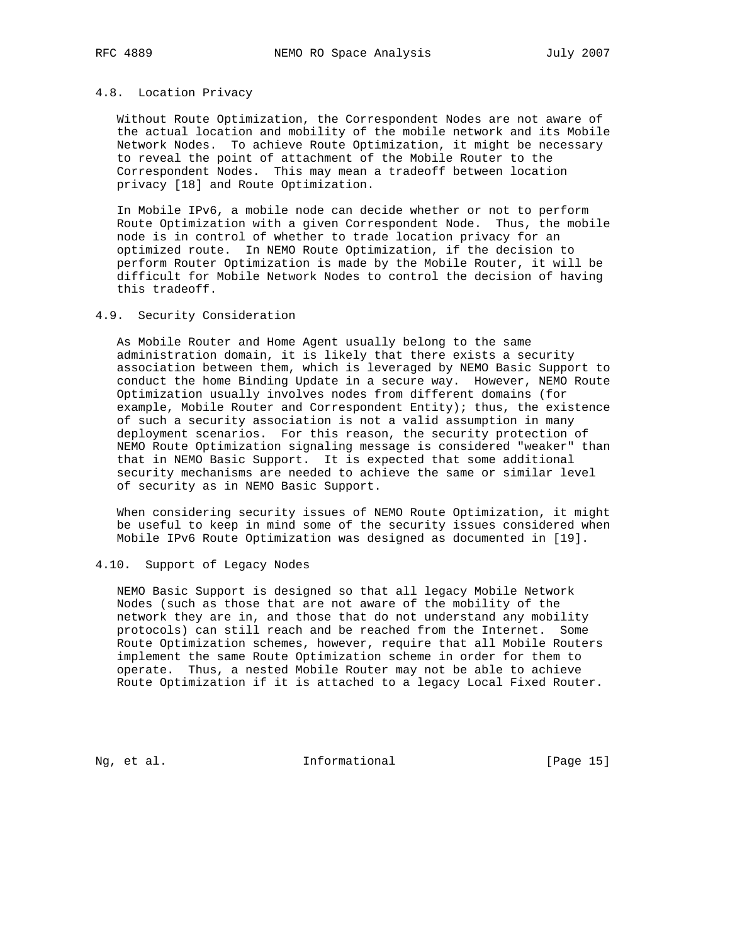#### 4.8. Location Privacy

 Without Route Optimization, the Correspondent Nodes are not aware of the actual location and mobility of the mobile network and its Mobile Network Nodes. To achieve Route Optimization, it might be necessary to reveal the point of attachment of the Mobile Router to the Correspondent Nodes. This may mean a tradeoff between location privacy [18] and Route Optimization.

 In Mobile IPv6, a mobile node can decide whether or not to perform Route Optimization with a given Correspondent Node. Thus, the mobile node is in control of whether to trade location privacy for an optimized route. In NEMO Route Optimization, if the decision to perform Router Optimization is made by the Mobile Router, it will be difficult for Mobile Network Nodes to control the decision of having this tradeoff.

#### 4.9. Security Consideration

 As Mobile Router and Home Agent usually belong to the same administration domain, it is likely that there exists a security association between them, which is leveraged by NEMO Basic Support to conduct the home Binding Update in a secure way. However, NEMO Route Optimization usually involves nodes from different domains (for example, Mobile Router and Correspondent Entity); thus, the existence of such a security association is not a valid assumption in many deployment scenarios. For this reason, the security protection of NEMO Route Optimization signaling message is considered "weaker" than that in NEMO Basic Support. It is expected that some additional security mechanisms are needed to achieve the same or similar level of security as in NEMO Basic Support.

 When considering security issues of NEMO Route Optimization, it might be useful to keep in mind some of the security issues considered when Mobile IPv6 Route Optimization was designed as documented in [19].

## 4.10. Support of Legacy Nodes

 NEMO Basic Support is designed so that all legacy Mobile Network Nodes (such as those that are not aware of the mobility of the network they are in, and those that do not understand any mobility protocols) can still reach and be reached from the Internet. Some Route Optimization schemes, however, require that all Mobile Routers implement the same Route Optimization scheme in order for them to operate. Thus, a nested Mobile Router may not be able to achieve Route Optimization if it is attached to a legacy Local Fixed Router.

Ng, et al. 10. Informational 1. [Page 15]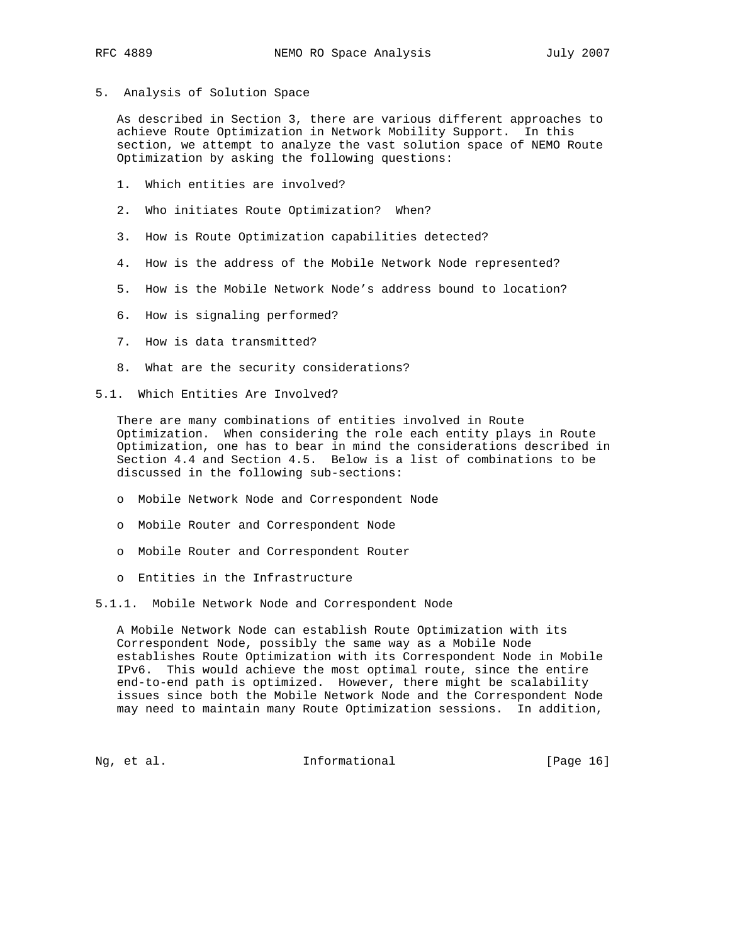5. Analysis of Solution Space

 As described in Section 3, there are various different approaches to achieve Route Optimization in Network Mobility Support. In this section, we attempt to analyze the vast solution space of NEMO Route Optimization by asking the following questions:

- 1. Which entities are involved?
- 2. Who initiates Route Optimization? When?
- 3. How is Route Optimization capabilities detected?
- 4. How is the address of the Mobile Network Node represented?
- 5. How is the Mobile Network Node's address bound to location?
- 6. How is signaling performed?
- 7. How is data transmitted?
- 8. What are the security considerations?
- 5.1. Which Entities Are Involved?

 There are many combinations of entities involved in Route Optimization. When considering the role each entity plays in Route Optimization, one has to bear in mind the considerations described in Section 4.4 and Section 4.5. Below is a list of combinations to be discussed in the following sub-sections:

- o Mobile Network Node and Correspondent Node
- o Mobile Router and Correspondent Node
- o Mobile Router and Correspondent Router
- o Entities in the Infrastructure
- 5.1.1. Mobile Network Node and Correspondent Node

 A Mobile Network Node can establish Route Optimization with its Correspondent Node, possibly the same way as a Mobile Node establishes Route Optimization with its Correspondent Node in Mobile IPv6. This would achieve the most optimal route, since the entire end-to-end path is optimized. However, there might be scalability issues since both the Mobile Network Node and the Correspondent Node may need to maintain many Route Optimization sessions. In addition,

Ng, et al. 10. Informational 1. [Page 16]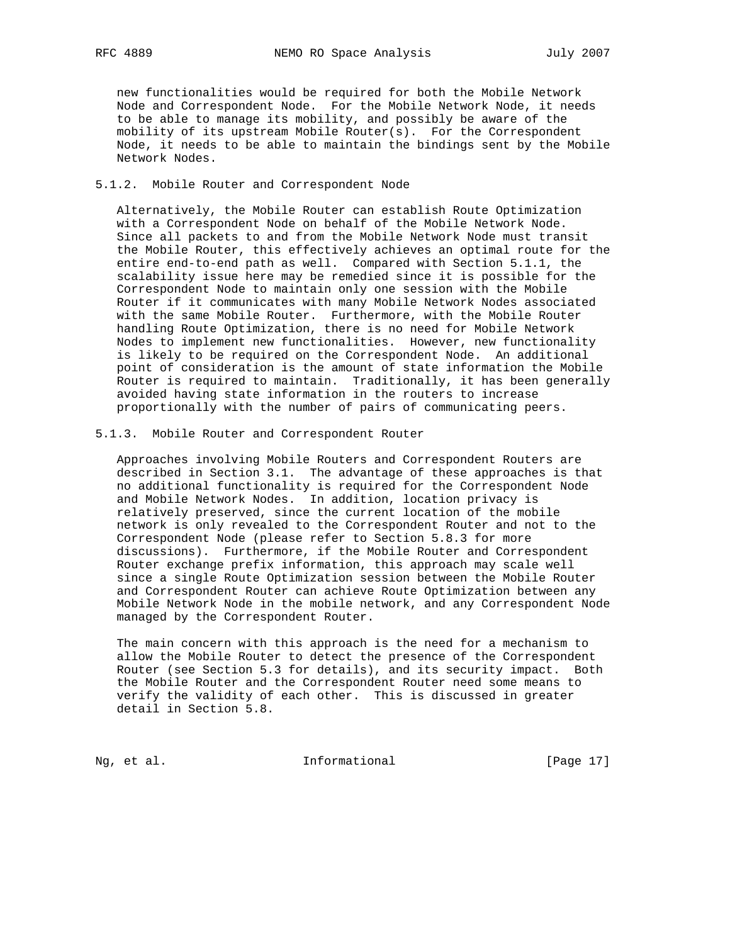new functionalities would be required for both the Mobile Network Node and Correspondent Node. For the Mobile Network Node, it needs to be able to manage its mobility, and possibly be aware of the mobility of its upstream Mobile Router(s). For the Correspondent Node, it needs to be able to maintain the bindings sent by the Mobile Network Nodes.

## 5.1.2. Mobile Router and Correspondent Node

 Alternatively, the Mobile Router can establish Route Optimization with a Correspondent Node on behalf of the Mobile Network Node. Since all packets to and from the Mobile Network Node must transit the Mobile Router, this effectively achieves an optimal route for the entire end-to-end path as well. Compared with Section 5.1.1, the scalability issue here may be remedied since it is possible for the Correspondent Node to maintain only one session with the Mobile Router if it communicates with many Mobile Network Nodes associated with the same Mobile Router. Furthermore, with the Mobile Router handling Route Optimization, there is no need for Mobile Network Nodes to implement new functionalities. However, new functionality is likely to be required on the Correspondent Node. An additional point of consideration is the amount of state information the Mobile Router is required to maintain. Traditionally, it has been generally avoided having state information in the routers to increase proportionally with the number of pairs of communicating peers.

#### 5.1.3. Mobile Router and Correspondent Router

 Approaches involving Mobile Routers and Correspondent Routers are described in Section 3.1. The advantage of these approaches is that no additional functionality is required for the Correspondent Node and Mobile Network Nodes. In addition, location privacy is relatively preserved, since the current location of the mobile network is only revealed to the Correspondent Router and not to the Correspondent Node (please refer to Section 5.8.3 for more discussions). Furthermore, if the Mobile Router and Correspondent Router exchange prefix information, this approach may scale well since a single Route Optimization session between the Mobile Router and Correspondent Router can achieve Route Optimization between any Mobile Network Node in the mobile network, and any Correspondent Node managed by the Correspondent Router.

 The main concern with this approach is the need for a mechanism to allow the Mobile Router to detect the presence of the Correspondent Router (see Section 5.3 for details), and its security impact. Both the Mobile Router and the Correspondent Router need some means to verify the validity of each other. This is discussed in greater detail in Section 5.8.

Ng, et al. 11. Informational [Page 17]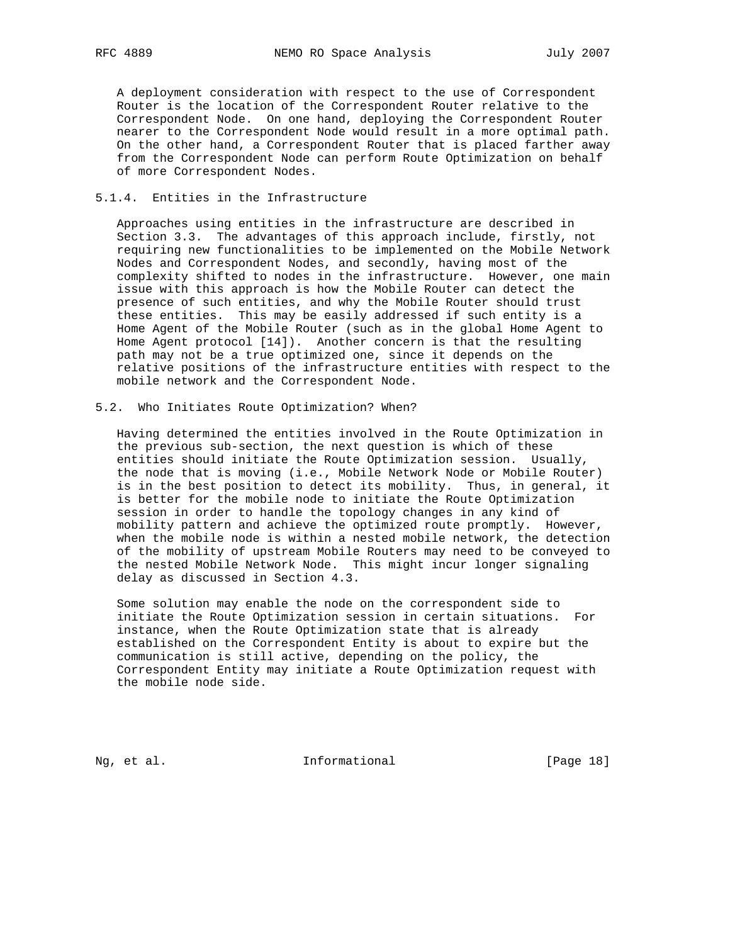A deployment consideration with respect to the use of Correspondent Router is the location of the Correspondent Router relative to the Correspondent Node. On one hand, deploying the Correspondent Router nearer to the Correspondent Node would result in a more optimal path. On the other hand, a Correspondent Router that is placed farther away from the Correspondent Node can perform Route Optimization on behalf of more Correspondent Nodes.

#### 5.1.4. Entities in the Infrastructure

 Approaches using entities in the infrastructure are described in Section 3.3. The advantages of this approach include, firstly, not requiring new functionalities to be implemented on the Mobile Network Nodes and Correspondent Nodes, and secondly, having most of the complexity shifted to nodes in the infrastructure. However, one main issue with this approach is how the Mobile Router can detect the presence of such entities, and why the Mobile Router should trust these entities. This may be easily addressed if such entity is a Home Agent of the Mobile Router (such as in the global Home Agent to Home Agent protocol [14]). Another concern is that the resulting path may not be a true optimized one, since it depends on the relative positions of the infrastructure entities with respect to the mobile network and the Correspondent Node.

# 5.2. Who Initiates Route Optimization? When?

 Having determined the entities involved in the Route Optimization in the previous sub-section, the next question is which of these entities should initiate the Route Optimization session. Usually, the node that is moving (i.e., Mobile Network Node or Mobile Router) is in the best position to detect its mobility. Thus, in general, it is better for the mobile node to initiate the Route Optimization session in order to handle the topology changes in any kind of mobility pattern and achieve the optimized route promptly. However, when the mobile node is within a nested mobile network, the detection of the mobility of upstream Mobile Routers may need to be conveyed to the nested Mobile Network Node. This might incur longer signaling delay as discussed in Section 4.3.

 Some solution may enable the node on the correspondent side to initiate the Route Optimization session in certain situations. For instance, when the Route Optimization state that is already established on the Correspondent Entity is about to expire but the communication is still active, depending on the policy, the Correspondent Entity may initiate a Route Optimization request with the mobile node side.

Ng, et al. 10. Informational 1. [Page 18]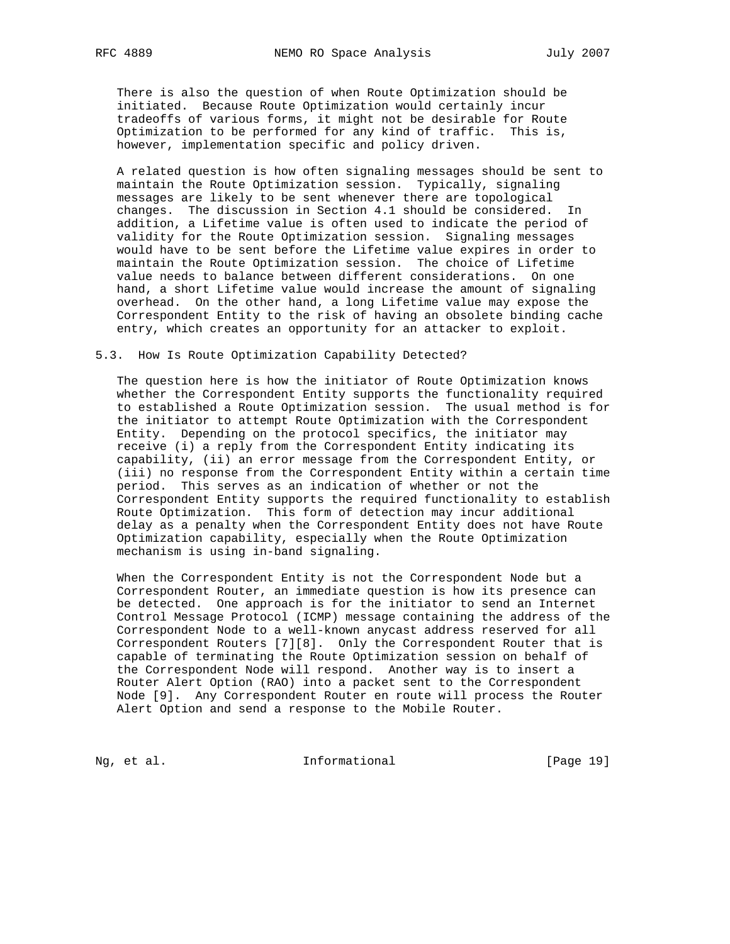There is also the question of when Route Optimization should be initiated. Because Route Optimization would certainly incur tradeoffs of various forms, it might not be desirable for Route Optimization to be performed for any kind of traffic. This is, however, implementation specific and policy driven.

 A related question is how often signaling messages should be sent to maintain the Route Optimization session. Typically, signaling messages are likely to be sent whenever there are topological changes. The discussion in Section 4.1 should be considered. In addition, a Lifetime value is often used to indicate the period of validity for the Route Optimization session. Signaling messages would have to be sent before the Lifetime value expires in order to maintain the Route Optimization session. The choice of Lifetime value needs to balance between different considerations. On one hand, a short Lifetime value would increase the amount of signaling overhead. On the other hand, a long Lifetime value may expose the Correspondent Entity to the risk of having an obsolete binding cache entry, which creates an opportunity for an attacker to exploit.

#### 5.3. How Is Route Optimization Capability Detected?

 The question here is how the initiator of Route Optimization knows whether the Correspondent Entity supports the functionality required to established a Route Optimization session. The usual method is for the initiator to attempt Route Optimization with the Correspondent Entity. Depending on the protocol specifics, the initiator may receive (i) a reply from the Correspondent Entity indicating its capability, (ii) an error message from the Correspondent Entity, or (iii) no response from the Correspondent Entity within a certain time period. This serves as an indication of whether or not the Correspondent Entity supports the required functionality to establish Route Optimization. This form of detection may incur additional delay as a penalty when the Correspondent Entity does not have Route Optimization capability, especially when the Route Optimization mechanism is using in-band signaling.

 When the Correspondent Entity is not the Correspondent Node but a Correspondent Router, an immediate question is how its presence can be detected. One approach is for the initiator to send an Internet Control Message Protocol (ICMP) message containing the address of the Correspondent Node to a well-known anycast address reserved for all Correspondent Routers [7][8]. Only the Correspondent Router that is capable of terminating the Route Optimization session on behalf of the Correspondent Node will respond. Another way is to insert a Router Alert Option (RAO) into a packet sent to the Correspondent Node [9]. Any Correspondent Router en route will process the Router Alert Option and send a response to the Mobile Router.

Ng, et al. 111 Informational 111 [Page 19]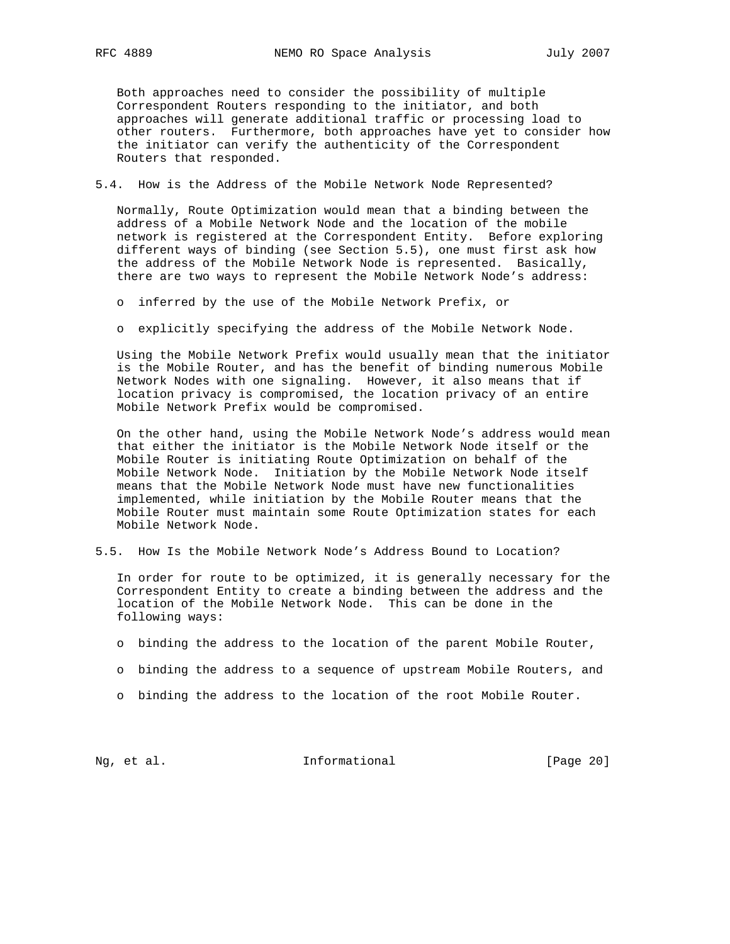Both approaches need to consider the possibility of multiple Correspondent Routers responding to the initiator, and both approaches will generate additional traffic or processing load to other routers. Furthermore, both approaches have yet to consider how the initiator can verify the authenticity of the Correspondent Routers that responded.

5.4. How is the Address of the Mobile Network Node Represented?

 Normally, Route Optimization would mean that a binding between the address of a Mobile Network Node and the location of the mobile network is registered at the Correspondent Entity. Before exploring different ways of binding (see Section 5.5), one must first ask how the address of the Mobile Network Node is represented. Basically, there are two ways to represent the Mobile Network Node's address:

o inferred by the use of the Mobile Network Prefix, or

o explicitly specifying the address of the Mobile Network Node.

 Using the Mobile Network Prefix would usually mean that the initiator is the Mobile Router, and has the benefit of binding numerous Mobile Network Nodes with one signaling. However, it also means that if location privacy is compromised, the location privacy of an entire Mobile Network Prefix would be compromised.

 On the other hand, using the Mobile Network Node's address would mean that either the initiator is the Mobile Network Node itself or the Mobile Router is initiating Route Optimization on behalf of the Mobile Network Node. Initiation by the Mobile Network Node itself means that the Mobile Network Node must have new functionalities implemented, while initiation by the Mobile Router means that the Mobile Router must maintain some Route Optimization states for each Mobile Network Node.

5.5. How Is the Mobile Network Node's Address Bound to Location?

 In order for route to be optimized, it is generally necessary for the Correspondent Entity to create a binding between the address and the location of the Mobile Network Node. This can be done in the following ways:

- o binding the address to the location of the parent Mobile Router,
- o binding the address to a sequence of upstream Mobile Routers, and
- o binding the address to the location of the root Mobile Router.

Ng, et al. 11. Informational 11. [Page 20]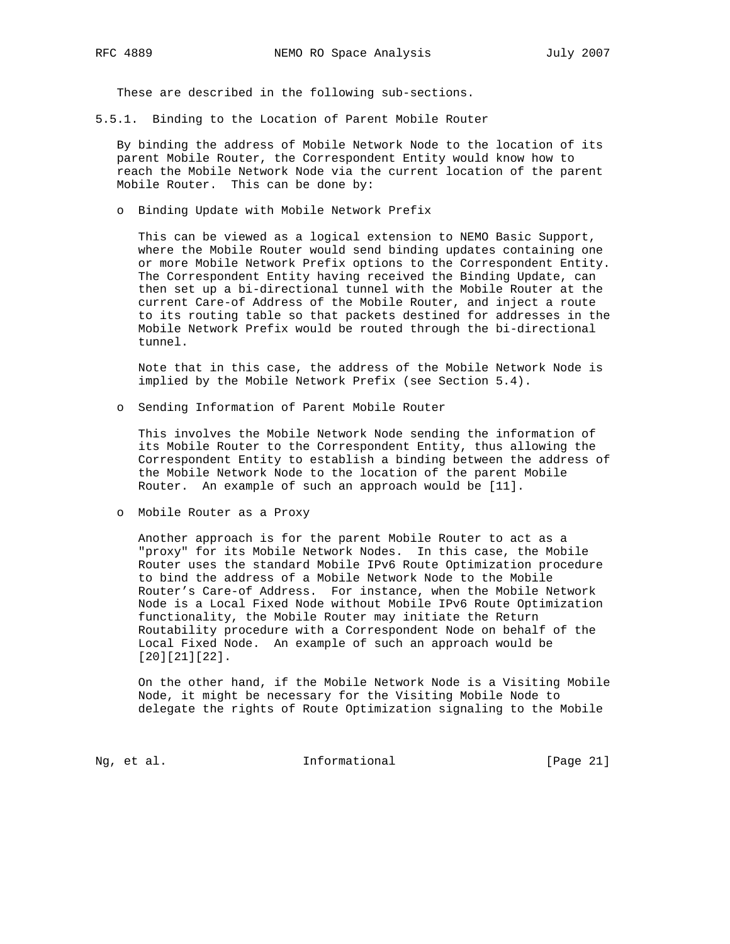These are described in the following sub-sections.

5.5.1. Binding to the Location of Parent Mobile Router

 By binding the address of Mobile Network Node to the location of its parent Mobile Router, the Correspondent Entity would know how to reach the Mobile Network Node via the current location of the parent Mobile Router. This can be done by:

o Binding Update with Mobile Network Prefix

 This can be viewed as a logical extension to NEMO Basic Support, where the Mobile Router would send binding updates containing one or more Mobile Network Prefix options to the Correspondent Entity. The Correspondent Entity having received the Binding Update, can then set up a bi-directional tunnel with the Mobile Router at the current Care-of Address of the Mobile Router, and inject a route to its routing table so that packets destined for addresses in the Mobile Network Prefix would be routed through the bi-directional tunnel.

 Note that in this case, the address of the Mobile Network Node is implied by the Mobile Network Prefix (see Section 5.4).

o Sending Information of Parent Mobile Router

 This involves the Mobile Network Node sending the information of its Mobile Router to the Correspondent Entity, thus allowing the Correspondent Entity to establish a binding between the address of the Mobile Network Node to the location of the parent Mobile Router. An example of such an approach would be [11].

o Mobile Router as a Proxy

 Another approach is for the parent Mobile Router to act as a "proxy" for its Mobile Network Nodes. In this case, the Mobile Router uses the standard Mobile IPv6 Route Optimization procedure to bind the address of a Mobile Network Node to the Mobile Router's Care-of Address. For instance, when the Mobile Network Node is a Local Fixed Node without Mobile IPv6 Route Optimization functionality, the Mobile Router may initiate the Return Routability procedure with a Correspondent Node on behalf of the Local Fixed Node. An example of such an approach would be [20][21][22].

 On the other hand, if the Mobile Network Node is a Visiting Mobile Node, it might be necessary for the Visiting Mobile Node to delegate the rights of Route Optimization signaling to the Mobile

Ng, et al. 11. Informational [Page 21]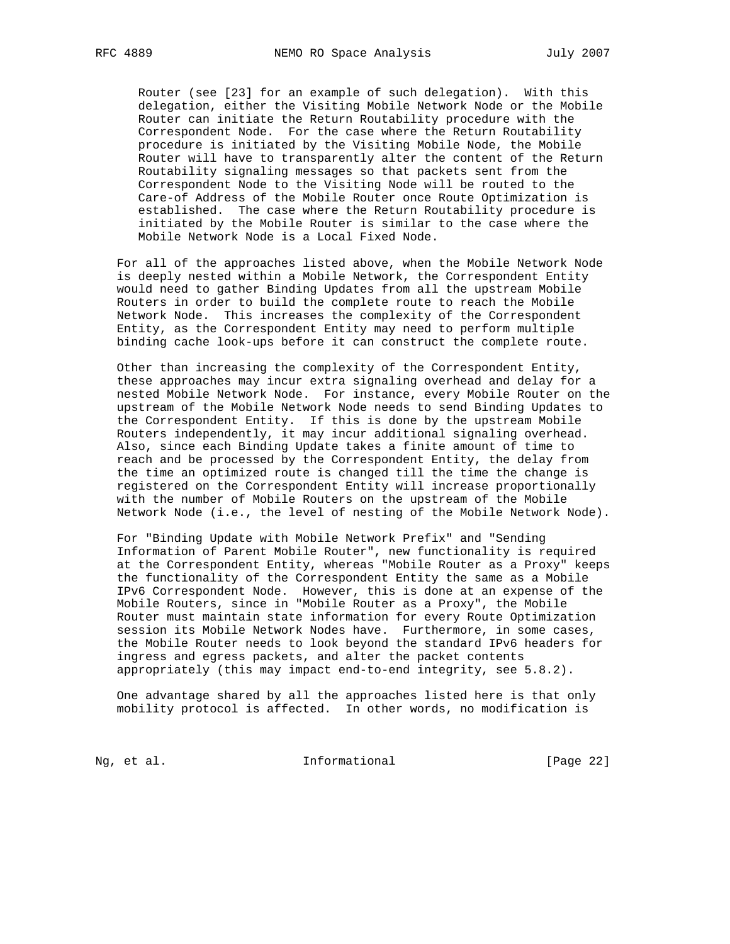Router (see [23] for an example of such delegation). With this delegation, either the Visiting Mobile Network Node or the Mobile Router can initiate the Return Routability procedure with the Correspondent Node. For the case where the Return Routability procedure is initiated by the Visiting Mobile Node, the Mobile Router will have to transparently alter the content of the Return Routability signaling messages so that packets sent from the Correspondent Node to the Visiting Node will be routed to the Care-of Address of the Mobile Router once Route Optimization is established. The case where the Return Routability procedure is initiated by the Mobile Router is similar to the case where the Mobile Network Node is a Local Fixed Node.

 For all of the approaches listed above, when the Mobile Network Node is deeply nested within a Mobile Network, the Correspondent Entity would need to gather Binding Updates from all the upstream Mobile Routers in order to build the complete route to reach the Mobile Network Node. This increases the complexity of the Correspondent Entity, as the Correspondent Entity may need to perform multiple binding cache look-ups before it can construct the complete route.

 Other than increasing the complexity of the Correspondent Entity, these approaches may incur extra signaling overhead and delay for a nested Mobile Network Node. For instance, every Mobile Router on the upstream of the Mobile Network Node needs to send Binding Updates to the Correspondent Entity. If this is done by the upstream Mobile Routers independently, it may incur additional signaling overhead. Also, since each Binding Update takes a finite amount of time to reach and be processed by the Correspondent Entity, the delay from the time an optimized route is changed till the time the change is registered on the Correspondent Entity will increase proportionally with the number of Mobile Routers on the upstream of the Mobile Network Node (i.e., the level of nesting of the Mobile Network Node).

 For "Binding Update with Mobile Network Prefix" and "Sending Information of Parent Mobile Router", new functionality is required at the Correspondent Entity, whereas "Mobile Router as a Proxy" keeps the functionality of the Correspondent Entity the same as a Mobile IPv6 Correspondent Node. However, this is done at an expense of the Mobile Routers, since in "Mobile Router as a Proxy", the Mobile Router must maintain state information for every Route Optimization session its Mobile Network Nodes have. Furthermore, in some cases, the Mobile Router needs to look beyond the standard IPv6 headers for ingress and egress packets, and alter the packet contents appropriately (this may impact end-to-end integrity, see 5.8.2).

 One advantage shared by all the approaches listed here is that only mobility protocol is affected. In other words, no modification is

Ng, et al. 11. Informational 11. [Page 22]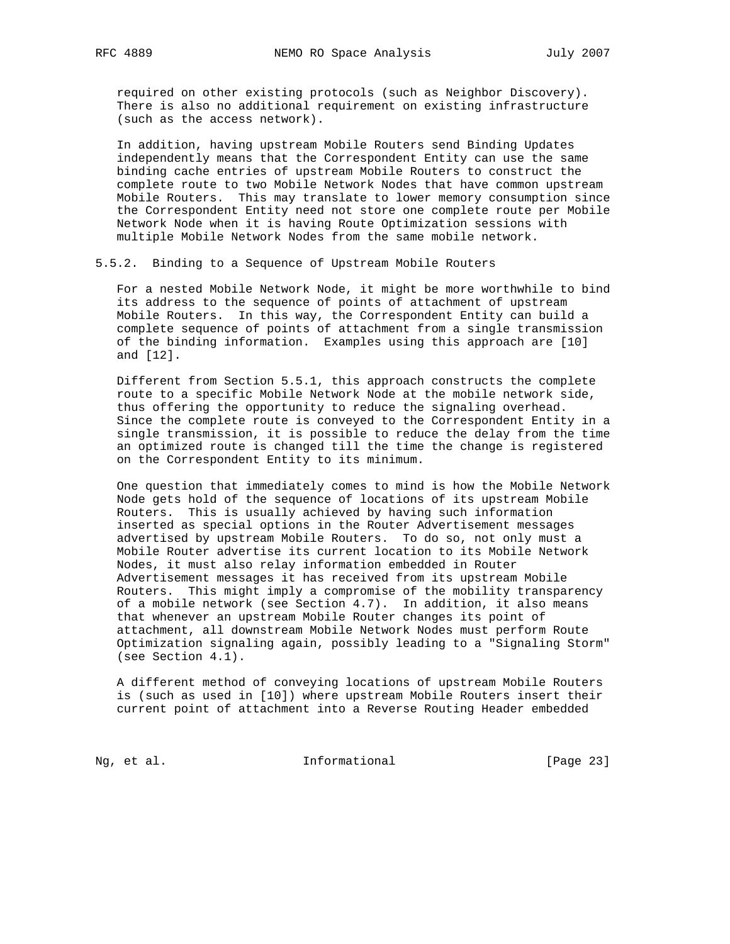required on other existing protocols (such as Neighbor Discovery). There is also no additional requirement on existing infrastructure (such as the access network).

 In addition, having upstream Mobile Routers send Binding Updates independently means that the Correspondent Entity can use the same binding cache entries of upstream Mobile Routers to construct the complete route to two Mobile Network Nodes that have common upstream Mobile Routers. This may translate to lower memory consumption since the Correspondent Entity need not store one complete route per Mobile Network Node when it is having Route Optimization sessions with multiple Mobile Network Nodes from the same mobile network.

5.5.2. Binding to a Sequence of Upstream Mobile Routers

 For a nested Mobile Network Node, it might be more worthwhile to bind its address to the sequence of points of attachment of upstream Mobile Routers. In this way, the Correspondent Entity can build a complete sequence of points of attachment from a single transmission of the binding information. Examples using this approach are [10] and [12].

 Different from Section 5.5.1, this approach constructs the complete route to a specific Mobile Network Node at the mobile network side, thus offering the opportunity to reduce the signaling overhead. Since the complete route is conveyed to the Correspondent Entity in a single transmission, it is possible to reduce the delay from the time an optimized route is changed till the time the change is registered on the Correspondent Entity to its minimum.

 One question that immediately comes to mind is how the Mobile Network Node gets hold of the sequence of locations of its upstream Mobile Routers. This is usually achieved by having such information inserted as special options in the Router Advertisement messages advertised by upstream Mobile Routers. To do so, not only must a Mobile Router advertise its current location to its Mobile Network Nodes, it must also relay information embedded in Router Advertisement messages it has received from its upstream Mobile Routers. This might imply a compromise of the mobility transparency of a mobile network (see Section 4.7). In addition, it also means that whenever an upstream Mobile Router changes its point of attachment, all downstream Mobile Network Nodes must perform Route Optimization signaling again, possibly leading to a "Signaling Storm" (see Section 4.1).

 A different method of conveying locations of upstream Mobile Routers is (such as used in [10]) where upstream Mobile Routers insert their current point of attachment into a Reverse Routing Header embedded

Ng, et al. 11. Informational 11. [Page 23]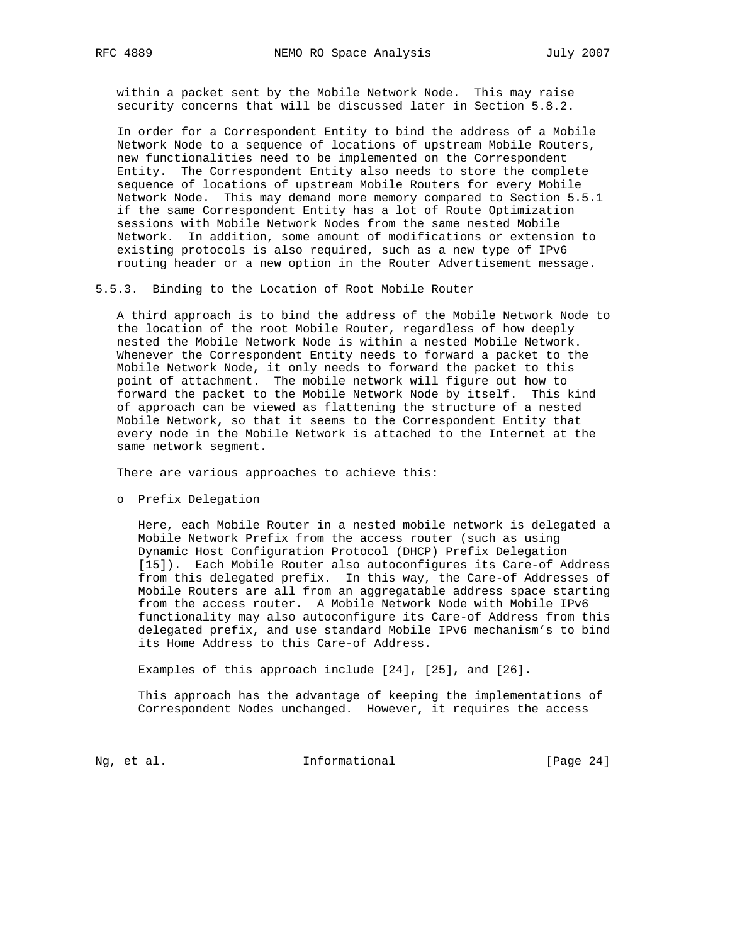within a packet sent by the Mobile Network Node. This may raise security concerns that will be discussed later in Section 5.8.2.

 In order for a Correspondent Entity to bind the address of a Mobile Network Node to a sequence of locations of upstream Mobile Routers, new functionalities need to be implemented on the Correspondent Entity. The Correspondent Entity also needs to store the complete sequence of locations of upstream Mobile Routers for every Mobile Network Node. This may demand more memory compared to Section 5.5.1 if the same Correspondent Entity has a lot of Route Optimization sessions with Mobile Network Nodes from the same nested Mobile Network. In addition, some amount of modifications or extension to existing protocols is also required, such as a new type of IPv6 routing header or a new option in the Router Advertisement message.

5.5.3. Binding to the Location of Root Mobile Router

 A third approach is to bind the address of the Mobile Network Node to the location of the root Mobile Router, regardless of how deeply nested the Mobile Network Node is within a nested Mobile Network. Whenever the Correspondent Entity needs to forward a packet to the Mobile Network Node, it only needs to forward the packet to this point of attachment. The mobile network will figure out how to forward the packet to the Mobile Network Node by itself. This kind of approach can be viewed as flattening the structure of a nested Mobile Network, so that it seems to the Correspondent Entity that every node in the Mobile Network is attached to the Internet at the same network segment.

There are various approaches to achieve this:

o Prefix Delegation

 Here, each Mobile Router in a nested mobile network is delegated a Mobile Network Prefix from the access router (such as using Dynamic Host Configuration Protocol (DHCP) Prefix Delegation [15]). Each Mobile Router also autoconfigures its Care-of Address from this delegated prefix. In this way, the Care-of Addresses of Mobile Routers are all from an aggregatable address space starting from the access router. A Mobile Network Node with Mobile IPv6 functionality may also autoconfigure its Care-of Address from this delegated prefix, and use standard Mobile IPv6 mechanism's to bind its Home Address to this Care-of Address.

Examples of this approach include [24], [25], and [26].

 This approach has the advantage of keeping the implementations of Correspondent Nodes unchanged. However, it requires the access

Ng, et al. 11. Informational 1. [Page 24]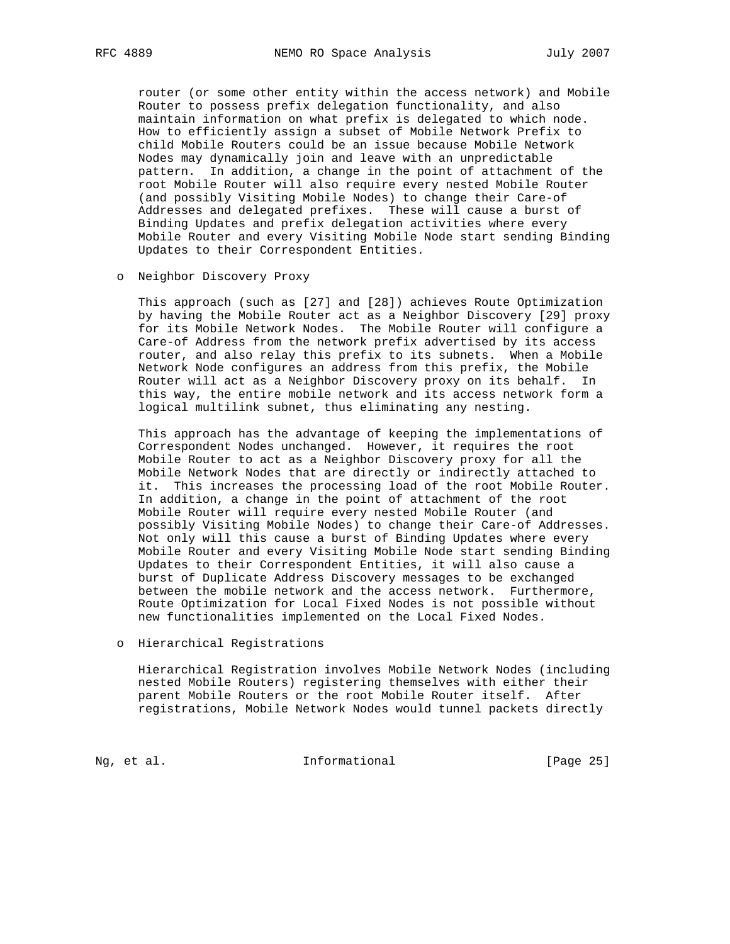router (or some other entity within the access network) and Mobile Router to possess prefix delegation functionality, and also maintain information on what prefix is delegated to which node. How to efficiently assign a subset of Mobile Network Prefix to child Mobile Routers could be an issue because Mobile Network Nodes may dynamically join and leave with an unpredictable pattern. In addition, a change in the point of attachment of the root Mobile Router will also require every nested Mobile Router (and possibly Visiting Mobile Nodes) to change their Care-of Addresses and delegated prefixes. These will cause a burst of Binding Updates and prefix delegation activities where every Mobile Router and every Visiting Mobile Node start sending Binding Updates to their Correspondent Entities.

o Neighbor Discovery Proxy

 This approach (such as [27] and [28]) achieves Route Optimization by having the Mobile Router act as a Neighbor Discovery [29] proxy for its Mobile Network Nodes. The Mobile Router will configure a Care-of Address from the network prefix advertised by its access router, and also relay this prefix to its subnets. When a Mobile Network Node configures an address from this prefix, the Mobile Router will act as a Neighbor Discovery proxy on its behalf. In this way, the entire mobile network and its access network form a logical multilink subnet, thus eliminating any nesting.

 This approach has the advantage of keeping the implementations of Correspondent Nodes unchanged. However, it requires the root Mobile Router to act as a Neighbor Discovery proxy for all the Mobile Network Nodes that are directly or indirectly attached to it. This increases the processing load of the root Mobile Router. In addition, a change in the point of attachment of the root Mobile Router will require every nested Mobile Router (and possibly Visiting Mobile Nodes) to change their Care-of Addresses. Not only will this cause a burst of Binding Updates where every Mobile Router and every Visiting Mobile Node start sending Binding Updates to their Correspondent Entities, it will also cause a burst of Duplicate Address Discovery messages to be exchanged between the mobile network and the access network. Furthermore, Route Optimization for Local Fixed Nodes is not possible without new functionalities implemented on the Local Fixed Nodes.

o Hierarchical Registrations

 Hierarchical Registration involves Mobile Network Nodes (including nested Mobile Routers) registering themselves with either their parent Mobile Routers or the root Mobile Router itself. After registrations, Mobile Network Nodes would tunnel packets directly

Ng, et al. 11. Informational 11. [Page 25]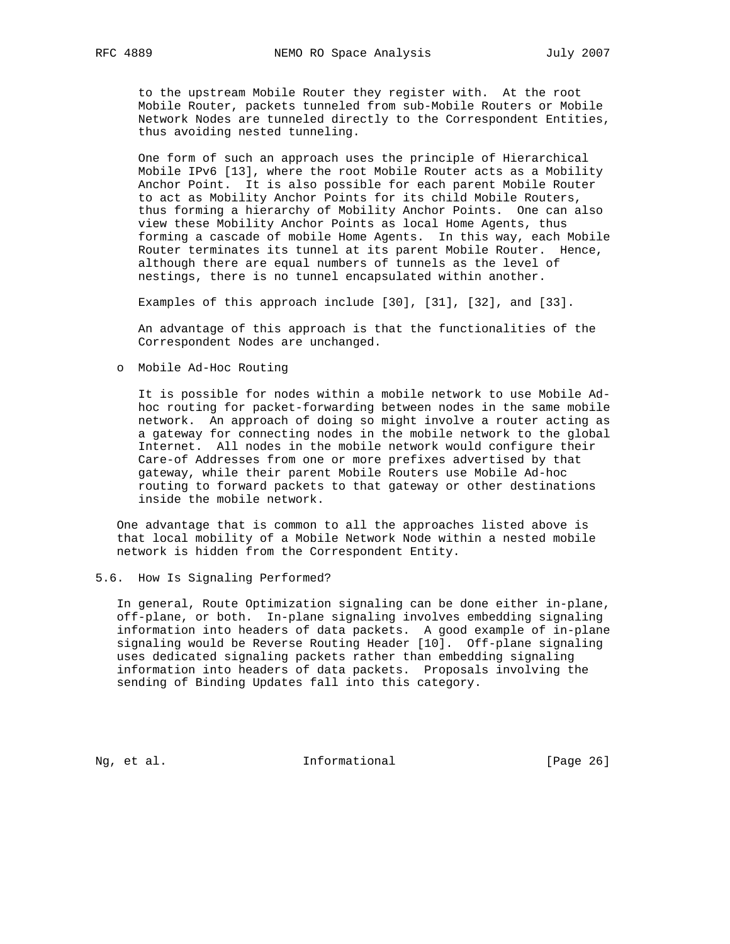to the upstream Mobile Router they register with. At the root Mobile Router, packets tunneled from sub-Mobile Routers or Mobile Network Nodes are tunneled directly to the Correspondent Entities, thus avoiding nested tunneling.

 One form of such an approach uses the principle of Hierarchical Mobile IPv6 [13], where the root Mobile Router acts as a Mobility Anchor Point. It is also possible for each parent Mobile Router to act as Mobility Anchor Points for its child Mobile Routers, thus forming a hierarchy of Mobility Anchor Points. One can also view these Mobility Anchor Points as local Home Agents, thus forming a cascade of mobile Home Agents. In this way, each Mobile Router terminates its tunnel at its parent Mobile Router. Hence, although there are equal numbers of tunnels as the level of nestings, there is no tunnel encapsulated within another.

Examples of this approach include [30], [31], [32], and [33].

 An advantage of this approach is that the functionalities of the Correspondent Nodes are unchanged.

o Mobile Ad-Hoc Routing

 It is possible for nodes within a mobile network to use Mobile Ad hoc routing for packet-forwarding between nodes in the same mobile network. An approach of doing so might involve a router acting as a gateway for connecting nodes in the mobile network to the global Internet. All nodes in the mobile network would configure their Care-of Addresses from one or more prefixes advertised by that gateway, while their parent Mobile Routers use Mobile Ad-hoc routing to forward packets to that gateway or other destinations inside the mobile network.

 One advantage that is common to all the approaches listed above is that local mobility of a Mobile Network Node within a nested mobile network is hidden from the Correspondent Entity.

## 5.6. How Is Signaling Performed?

 In general, Route Optimization signaling can be done either in-plane, off-plane, or both. In-plane signaling involves embedding signaling information into headers of data packets. A good example of in-plane signaling would be Reverse Routing Header [10]. Off-plane signaling uses dedicated signaling packets rather than embedding signaling information into headers of data packets. Proposals involving the sending of Binding Updates fall into this category.

Ng, et al. 10. Informational 1. [Page 26]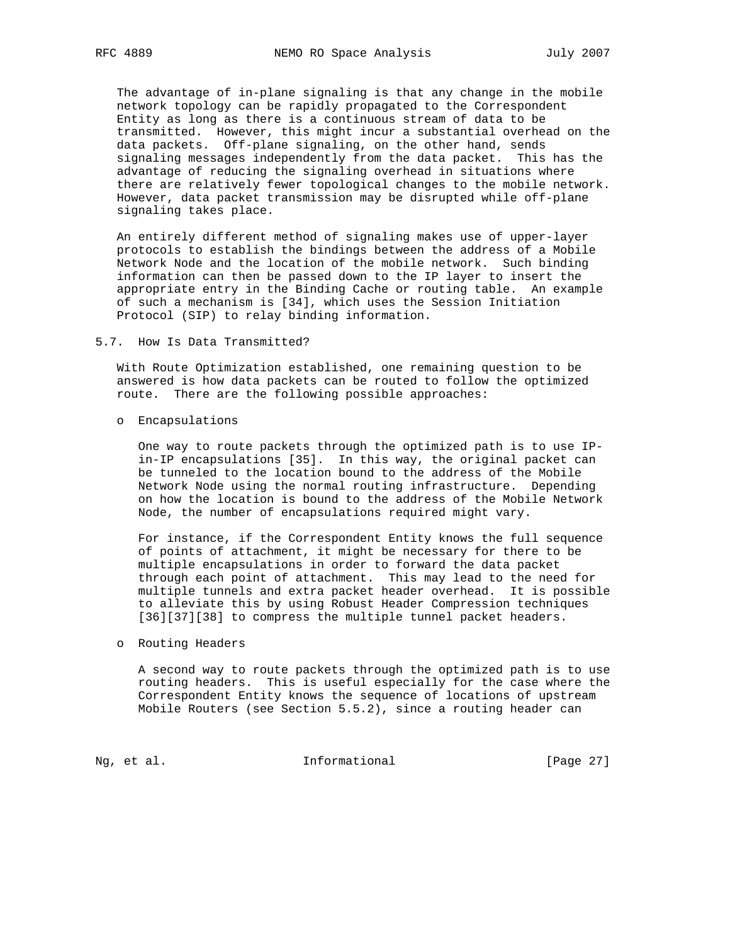The advantage of in-plane signaling is that any change in the mobile network topology can be rapidly propagated to the Correspondent Entity as long as there is a continuous stream of data to be transmitted. However, this might incur a substantial overhead on the data packets. Off-plane signaling, on the other hand, sends signaling messages independently from the data packet. This has the advantage of reducing the signaling overhead in situations where there are relatively fewer topological changes to the mobile network. However, data packet transmission may be disrupted while off-plane signaling takes place.

 An entirely different method of signaling makes use of upper-layer protocols to establish the bindings between the address of a Mobile Network Node and the location of the mobile network. Such binding information can then be passed down to the IP layer to insert the appropriate entry in the Binding Cache or routing table. An example of such a mechanism is [34], which uses the Session Initiation Protocol (SIP) to relay binding information.

5.7. How Is Data Transmitted?

 With Route Optimization established, one remaining question to be answered is how data packets can be routed to follow the optimized route. There are the following possible approaches:

o Encapsulations

 One way to route packets through the optimized path is to use IP in-IP encapsulations [35]. In this way, the original packet can be tunneled to the location bound to the address of the Mobile Network Node using the normal routing infrastructure. Depending on how the location is bound to the address of the Mobile Network Node, the number of encapsulations required might vary.

 For instance, if the Correspondent Entity knows the full sequence of points of attachment, it might be necessary for there to be multiple encapsulations in order to forward the data packet through each point of attachment. This may lead to the need for multiple tunnels and extra packet header overhead. It is possible to alleviate this by using Robust Header Compression techniques [36][37][38] to compress the multiple tunnel packet headers.

# o Routing Headers

 A second way to route packets through the optimized path is to use routing headers. This is useful especially for the case where the Correspondent Entity knows the sequence of locations of upstream Mobile Routers (see Section 5.5.2), since a routing header can

Ng, et al. 10. Informational 11. [Page 27]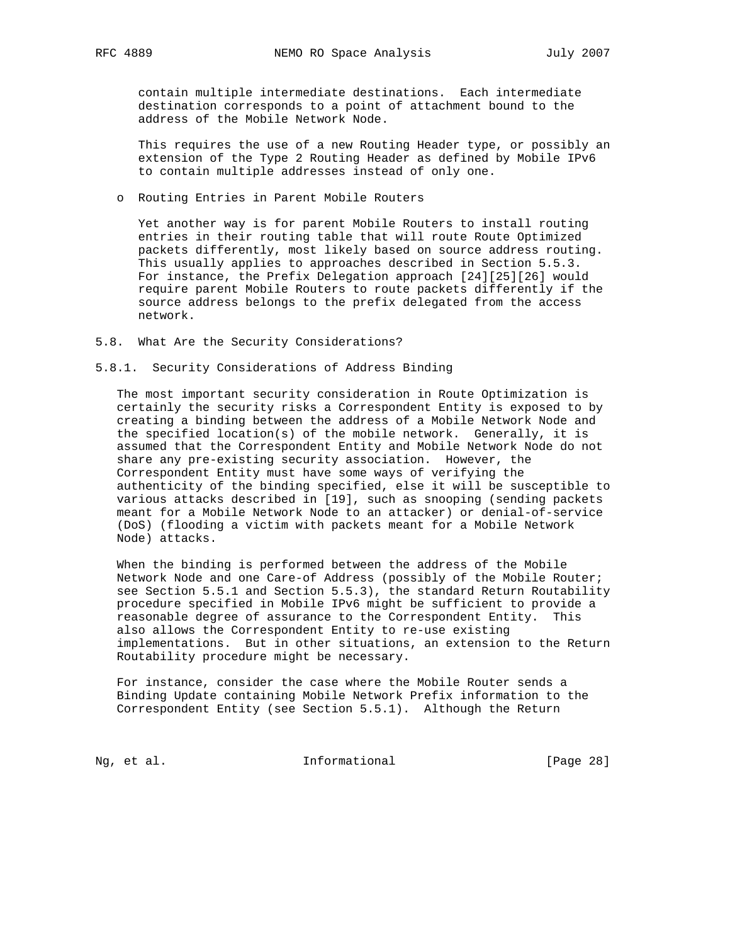contain multiple intermediate destinations. Each intermediate destination corresponds to a point of attachment bound to the address of the Mobile Network Node.

 This requires the use of a new Routing Header type, or possibly an extension of the Type 2 Routing Header as defined by Mobile IPv6 to contain multiple addresses instead of only one.

o Routing Entries in Parent Mobile Routers

 Yet another way is for parent Mobile Routers to install routing entries in their routing table that will route Route Optimized packets differently, most likely based on source address routing. This usually applies to approaches described in Section 5.5.3. For instance, the Prefix Delegation approach [24][25][26] would require parent Mobile Routers to route packets differently if the source address belongs to the prefix delegated from the access network.

- 5.8. What Are the Security Considerations?
- 5.8.1. Security Considerations of Address Binding

 The most important security consideration in Route Optimization is certainly the security risks a Correspondent Entity is exposed to by creating a binding between the address of a Mobile Network Node and the specified location(s) of the mobile network. Generally, it is assumed that the Correspondent Entity and Mobile Network Node do not share any pre-existing security association. However, the Correspondent Entity must have some ways of verifying the authenticity of the binding specified, else it will be susceptible to various attacks described in [19], such as snooping (sending packets meant for a Mobile Network Node to an attacker) or denial-of-service (DoS) (flooding a victim with packets meant for a Mobile Network Node) attacks.

 When the binding is performed between the address of the Mobile Network Node and one Care-of Address (possibly of the Mobile Router; see Section 5.5.1 and Section 5.5.3), the standard Return Routability procedure specified in Mobile IPv6 might be sufficient to provide a reasonable degree of assurance to the Correspondent Entity. This also allows the Correspondent Entity to re-use existing implementations. But in other situations, an extension to the Return Routability procedure might be necessary.

 For instance, consider the case where the Mobile Router sends a Binding Update containing Mobile Network Prefix information to the Correspondent Entity (see Section 5.5.1). Although the Return

Ng, et al. 11. Informational 11. [Page 28]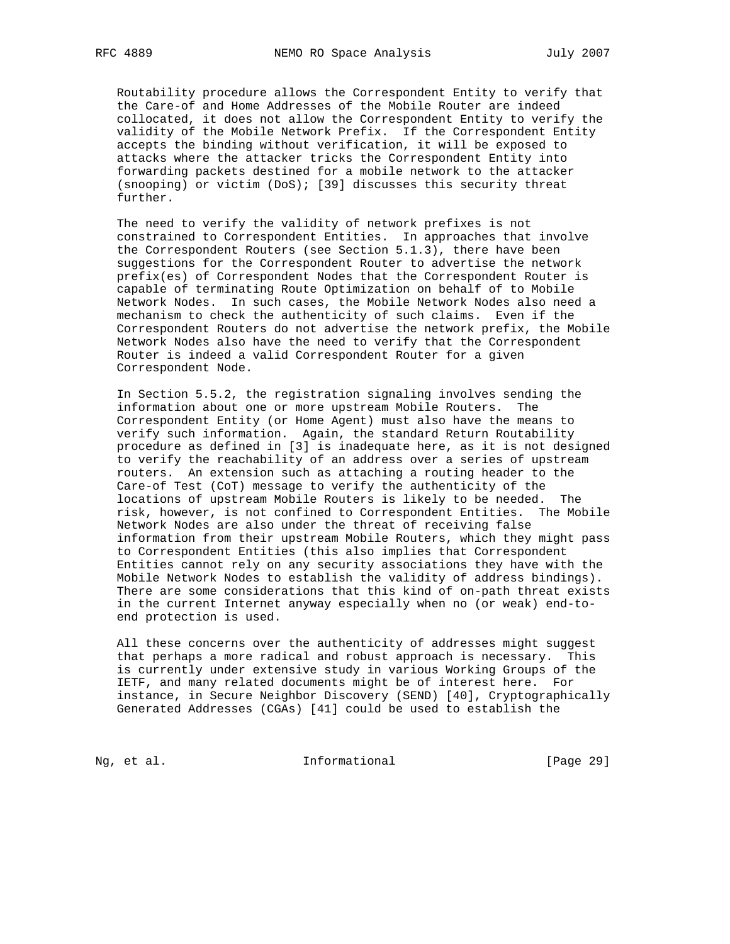Routability procedure allows the Correspondent Entity to verify that the Care-of and Home Addresses of the Mobile Router are indeed collocated, it does not allow the Correspondent Entity to verify the validity of the Mobile Network Prefix. If the Correspondent Entity accepts the binding without verification, it will be exposed to attacks where the attacker tricks the Correspondent Entity into forwarding packets destined for a mobile network to the attacker (snooping) or victim (DoS); [39] discusses this security threat further.

 The need to verify the validity of network prefixes is not constrained to Correspondent Entities. In approaches that involve the Correspondent Routers (see Section 5.1.3), there have been suggestions for the Correspondent Router to advertise the network prefix(es) of Correspondent Nodes that the Correspondent Router is capable of terminating Route Optimization on behalf of to Mobile Network Nodes. In such cases, the Mobile Network Nodes also need a mechanism to check the authenticity of such claims. Even if the Correspondent Routers do not advertise the network prefix, the Mobile Network Nodes also have the need to verify that the Correspondent Router is indeed a valid Correspondent Router for a given Correspondent Node.

 In Section 5.5.2, the registration signaling involves sending the information about one or more upstream Mobile Routers. The Correspondent Entity (or Home Agent) must also have the means to verify such information. Again, the standard Return Routability procedure as defined in [3] is inadequate here, as it is not designed to verify the reachability of an address over a series of upstream routers. An extension such as attaching a routing header to the Care-of Test (CoT) message to verify the authenticity of the locations of upstream Mobile Routers is likely to be needed. The risk, however, is not confined to Correspondent Entities. The Mobile Network Nodes are also under the threat of receiving false information from their upstream Mobile Routers, which they might pass to Correspondent Entities (this also implies that Correspondent Entities cannot rely on any security associations they have with the Mobile Network Nodes to establish the validity of address bindings). There are some considerations that this kind of on-path threat exists in the current Internet anyway especially when no (or weak) end-to end protection is used.

 All these concerns over the authenticity of addresses might suggest that perhaps a more radical and robust approach is necessary. This is currently under extensive study in various Working Groups of the IETF, and many related documents might be of interest here. For instance, in Secure Neighbor Discovery (SEND) [40], Cryptographically Generated Addresses (CGAs) [41] could be used to establish the

Ng, et al. 11. Informational [Page 29]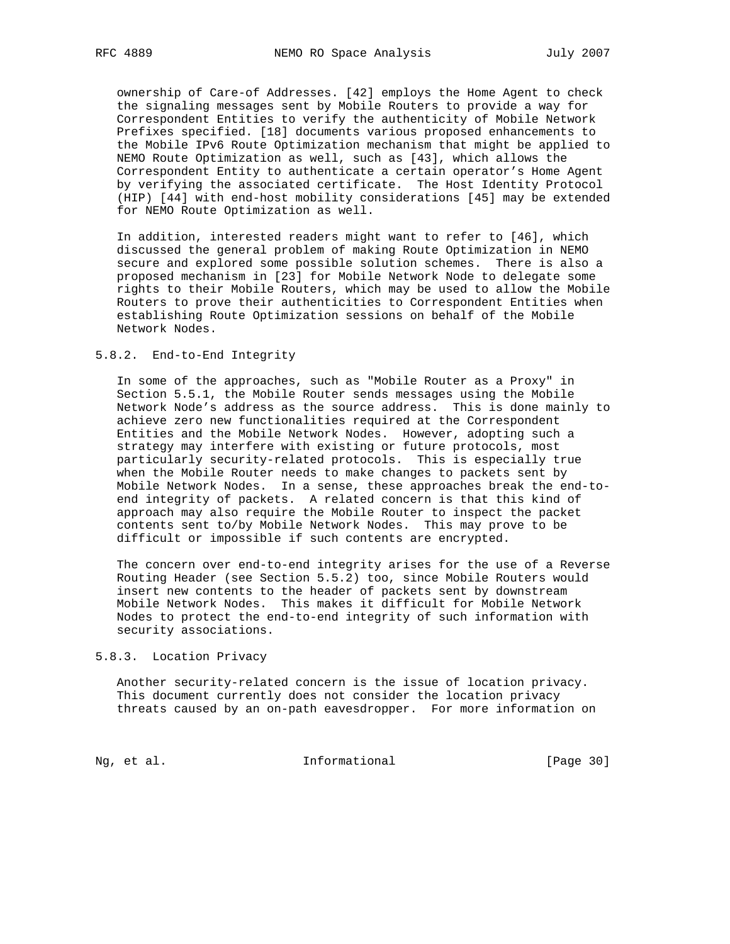ownership of Care-of Addresses. [42] employs the Home Agent to check the signaling messages sent by Mobile Routers to provide a way for Correspondent Entities to verify the authenticity of Mobile Network Prefixes specified. [18] documents various proposed enhancements to the Mobile IPv6 Route Optimization mechanism that might be applied to NEMO Route Optimization as well, such as [43], which allows the Correspondent Entity to authenticate a certain operator's Home Agent by verifying the associated certificate. The Host Identity Protocol (HIP) [44] with end-host mobility considerations [45] may be extended for NEMO Route Optimization as well.

 In addition, interested readers might want to refer to [46], which discussed the general problem of making Route Optimization in NEMO secure and explored some possible solution schemes. There is also a proposed mechanism in [23] for Mobile Network Node to delegate some rights to their Mobile Routers, which may be used to allow the Mobile Routers to prove their authenticities to Correspondent Entities when establishing Route Optimization sessions on behalf of the Mobile Network Nodes.

## 5.8.2. End-to-End Integrity

 In some of the approaches, such as "Mobile Router as a Proxy" in Section 5.5.1, the Mobile Router sends messages using the Mobile Network Node's address as the source address. This is done mainly to achieve zero new functionalities required at the Correspondent Entities and the Mobile Network Nodes. However, adopting such a strategy may interfere with existing or future protocols, most particularly security-related protocols. This is especially true when the Mobile Router needs to make changes to packets sent by Mobile Network Nodes. In a sense, these approaches break the end-to end integrity of packets. A related concern is that this kind of approach may also require the Mobile Router to inspect the packet contents sent to/by Mobile Network Nodes. This may prove to be difficult or impossible if such contents are encrypted.

 The concern over end-to-end integrity arises for the use of a Reverse Routing Header (see Section 5.5.2) too, since Mobile Routers would insert new contents to the header of packets sent by downstream Mobile Network Nodes. This makes it difficult for Mobile Network Nodes to protect the end-to-end integrity of such information with security associations.

#### 5.8.3. Location Privacy

 Another security-related concern is the issue of location privacy. This document currently does not consider the location privacy threats caused by an on-path eavesdropper. For more information on

Ng, et al. 11. Informational 11. [Page 30]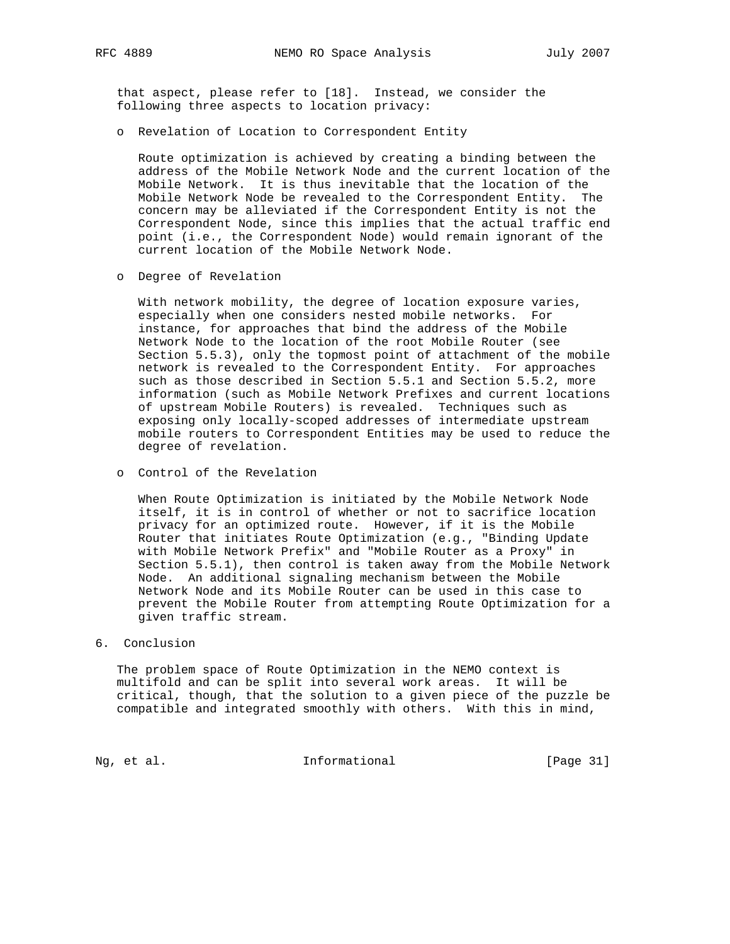that aspect, please refer to [18]. Instead, we consider the following three aspects to location privacy:

o Revelation of Location to Correspondent Entity

 Route optimization is achieved by creating a binding between the address of the Mobile Network Node and the current location of the Mobile Network. It is thus inevitable that the location of the Mobile Network Node be revealed to the Correspondent Entity. The concern may be alleviated if the Correspondent Entity is not the Correspondent Node, since this implies that the actual traffic end point (i.e., the Correspondent Node) would remain ignorant of the current location of the Mobile Network Node.

o Degree of Revelation

 With network mobility, the degree of location exposure varies, especially when one considers nested mobile networks. For instance, for approaches that bind the address of the Mobile Network Node to the location of the root Mobile Router (see Section 5.5.3), only the topmost point of attachment of the mobile network is revealed to the Correspondent Entity. For approaches such as those described in Section 5.5.1 and Section 5.5.2, more information (such as Mobile Network Prefixes and current locations of upstream Mobile Routers) is revealed. Techniques such as exposing only locally-scoped addresses of intermediate upstream mobile routers to Correspondent Entities may be used to reduce the degree of revelation.

o Control of the Revelation

 When Route Optimization is initiated by the Mobile Network Node itself, it is in control of whether or not to sacrifice location privacy for an optimized route. However, if it is the Mobile Router that initiates Route Optimization (e.g., "Binding Update with Mobile Network Prefix" and "Mobile Router as a Proxy" in Section 5.5.1), then control is taken away from the Mobile Network Node. An additional signaling mechanism between the Mobile Network Node and its Mobile Router can be used in this case to prevent the Mobile Router from attempting Route Optimization for a given traffic stream.

# 6. Conclusion

 The problem space of Route Optimization in the NEMO context is multifold and can be split into several work areas. It will be critical, though, that the solution to a given piece of the puzzle be compatible and integrated smoothly with others. With this in mind,

Ng, et al. 1. Informational 1. [Page 31]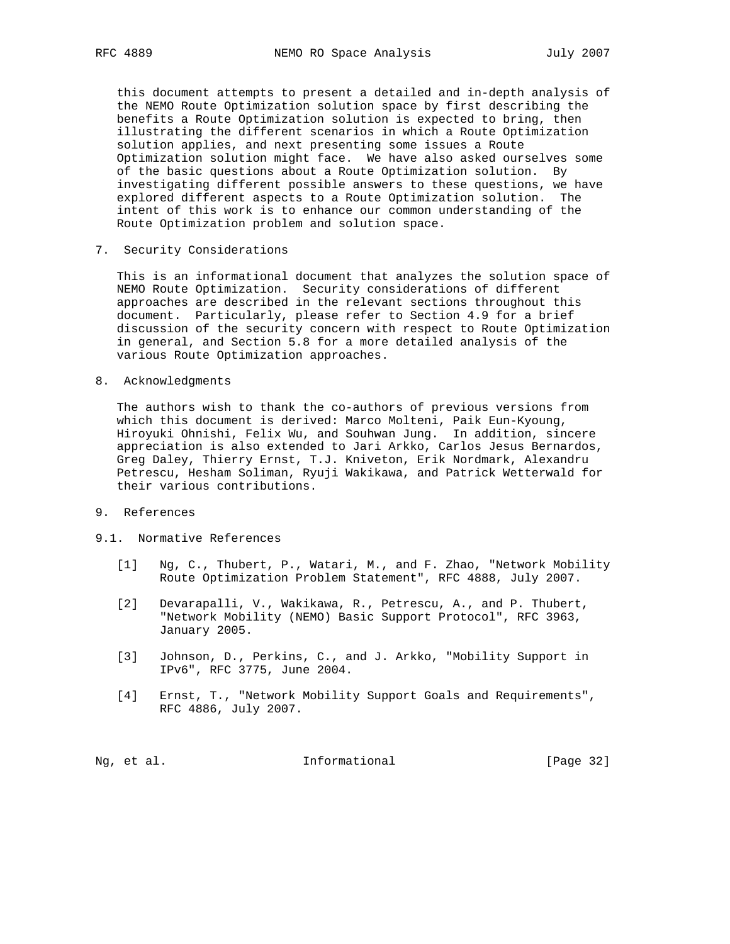this document attempts to present a detailed and in-depth analysis of the NEMO Route Optimization solution space by first describing the benefits a Route Optimization solution is expected to bring, then illustrating the different scenarios in which a Route Optimization solution applies, and next presenting some issues a Route Optimization solution might face. We have also asked ourselves some of the basic questions about a Route Optimization solution. By investigating different possible answers to these questions, we have explored different aspects to a Route Optimization solution. The intent of this work is to enhance our common understanding of the Route Optimization problem and solution space.

7. Security Considerations

 This is an informational document that analyzes the solution space of NEMO Route Optimization. Security considerations of different approaches are described in the relevant sections throughout this document. Particularly, please refer to Section 4.9 for a brief discussion of the security concern with respect to Route Optimization in general, and Section 5.8 for a more detailed analysis of the various Route Optimization approaches.

8. Acknowledgments

 The authors wish to thank the co-authors of previous versions from which this document is derived: Marco Molteni, Paik Eun-Kyoung, Hiroyuki Ohnishi, Felix Wu, and Souhwan Jung. In addition, sincere appreciation is also extended to Jari Arkko, Carlos Jesus Bernardos, Greg Daley, Thierry Ernst, T.J. Kniveton, Erik Nordmark, Alexandru Petrescu, Hesham Soliman, Ryuji Wakikawa, and Patrick Wetterwald for their various contributions.

9. References

#### 9.1. Normative References

- [1] Ng, C., Thubert, P., Watari, M., and F. Zhao, "Network Mobility Route Optimization Problem Statement", RFC 4888, July 2007.
- [2] Devarapalli, V., Wakikawa, R., Petrescu, A., and P. Thubert, "Network Mobility (NEMO) Basic Support Protocol", RFC 3963, January 2005.
- [3] Johnson, D., Perkins, C., and J. Arkko, "Mobility Support in IPv6", RFC 3775, June 2004.
- [4] Ernst, T., "Network Mobility Support Goals and Requirements", RFC 4886, July 2007.

Ng, et al. 11. Informational 11. [Page 32]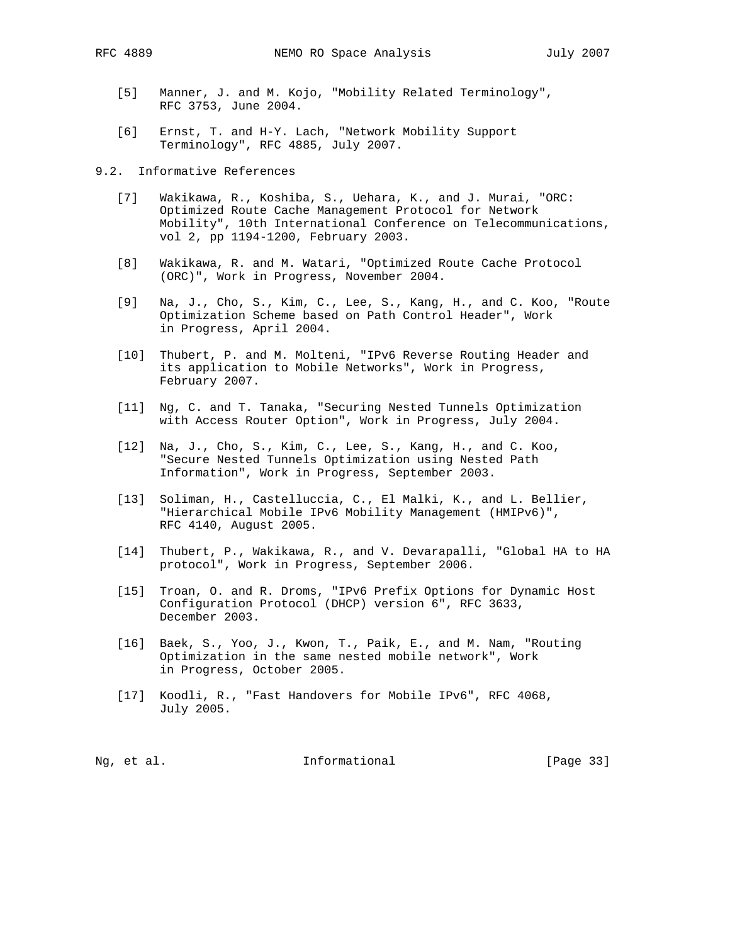- [5] Manner, J. and M. Kojo, "Mobility Related Terminology", RFC 3753, June 2004.
- [6] Ernst, T. and H-Y. Lach, "Network Mobility Support Terminology", RFC 4885, July 2007.

9.2. Informative References

- [7] Wakikawa, R., Koshiba, S., Uehara, K., and J. Murai, "ORC: Optimized Route Cache Management Protocol for Network Mobility", 10th International Conference on Telecommunications, vol 2, pp 1194-1200, February 2003.
- [8] Wakikawa, R. and M. Watari, "Optimized Route Cache Protocol (ORC)", Work in Progress, November 2004.
- [9] Na, J., Cho, S., Kim, C., Lee, S., Kang, H., and C. Koo, "Route Optimization Scheme based on Path Control Header", Work in Progress, April 2004.
- [10] Thubert, P. and M. Molteni, "IPv6 Reverse Routing Header and its application to Mobile Networks", Work in Progress, February 2007.
- [11] Ng, C. and T. Tanaka, "Securing Nested Tunnels Optimization with Access Router Option", Work in Progress, July 2004.
- [12] Na, J., Cho, S., Kim, C., Lee, S., Kang, H., and C. Koo, "Secure Nested Tunnels Optimization using Nested Path Information", Work in Progress, September 2003.
- [13] Soliman, H., Castelluccia, C., El Malki, K., and L. Bellier, "Hierarchical Mobile IPv6 Mobility Management (HMIPv6)", RFC 4140, August 2005.
- [14] Thubert, P., Wakikawa, R., and V. Devarapalli, "Global HA to HA protocol", Work in Progress, September 2006.
- [15] Troan, O. and R. Droms, "IPv6 Prefix Options for Dynamic Host Configuration Protocol (DHCP) version 6", RFC 3633, December 2003.
- [16] Baek, S., Yoo, J., Kwon, T., Paik, E., and M. Nam, "Routing Optimization in the same nested mobile network", Work in Progress, October 2005.
- [17] Koodli, R., "Fast Handovers for Mobile IPv6", RFC 4068, July 2005.

| Informational<br>Ng, et al. | [Page 33] |  |  |  |  |  |  |
|-----------------------------|-----------|--|--|--|--|--|--|
|-----------------------------|-----------|--|--|--|--|--|--|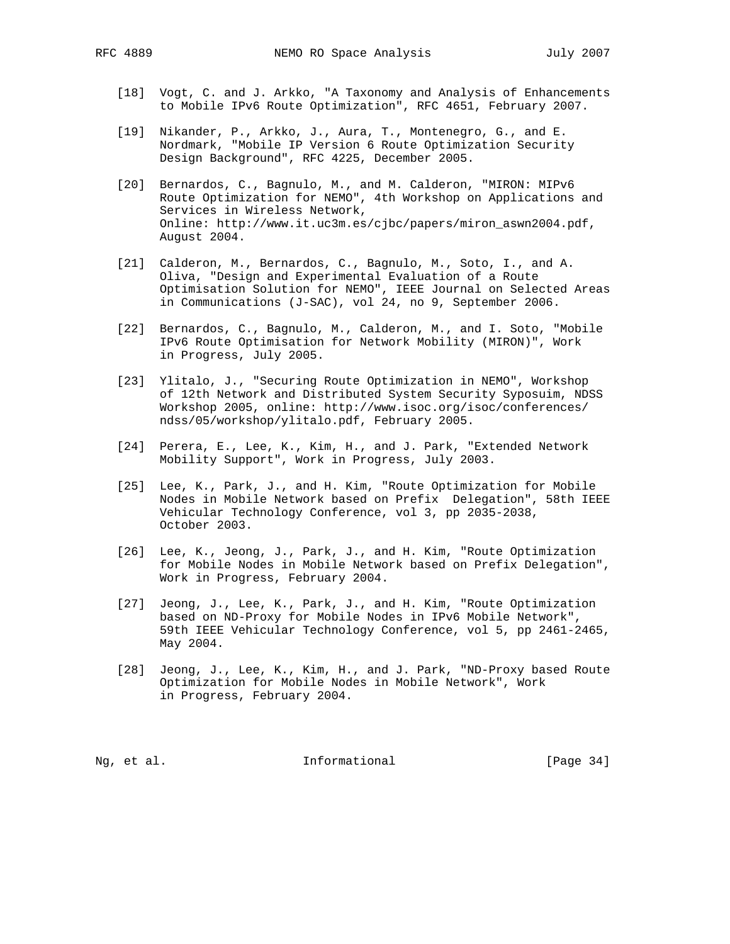- [18] Vogt, C. and J. Arkko, "A Taxonomy and Analysis of Enhancements to Mobile IPv6 Route Optimization", RFC 4651, February 2007.
- [19] Nikander, P., Arkko, J., Aura, T., Montenegro, G., and E. Nordmark, "Mobile IP Version 6 Route Optimization Security Design Background", RFC 4225, December 2005.
- [20] Bernardos, C., Bagnulo, M., and M. Calderon, "MIRON: MIPv6 Route Optimization for NEMO", 4th Workshop on Applications and Services in Wireless Network, Online: http://www.it.uc3m.es/cjbc/papers/miron\_aswn2004.pdf, August 2004.
- [21] Calderon, M., Bernardos, C., Bagnulo, M., Soto, I., and A. Oliva, "Design and Experimental Evaluation of a Route Optimisation Solution for NEMO", IEEE Journal on Selected Areas in Communications (J-SAC), vol 24, no 9, September 2006.
- [22] Bernardos, C., Bagnulo, M., Calderon, M., and I. Soto, "Mobile IPv6 Route Optimisation for Network Mobility (MIRON)", Work in Progress, July 2005.
- [23] Ylitalo, J., "Securing Route Optimization in NEMO", Workshop of 12th Network and Distributed System Security Syposuim, NDSS Workshop 2005, online: http://www.isoc.org/isoc/conferences/ ndss/05/workshop/ylitalo.pdf, February 2005.
- [24] Perera, E., Lee, K., Kim, H., and J. Park, "Extended Network Mobility Support", Work in Progress, July 2003.
- [25] Lee, K., Park, J., and H. Kim, "Route Optimization for Mobile Nodes in Mobile Network based on Prefix Delegation", 58th IEEE Vehicular Technology Conference, vol 3, pp 2035-2038, October 2003.
- [26] Lee, K., Jeong, J., Park, J., and H. Kim, "Route Optimization for Mobile Nodes in Mobile Network based on Prefix Delegation", Work in Progress, February 2004.
- [27] Jeong, J., Lee, K., Park, J., and H. Kim, "Route Optimization based on ND-Proxy for Mobile Nodes in IPv6 Mobile Network", 59th IEEE Vehicular Technology Conference, vol 5, pp 2461-2465, May 2004.
- [28] Jeong, J., Lee, K., Kim, H., and J. Park, "ND-Proxy based Route Optimization for Mobile Nodes in Mobile Network", Work in Progress, February 2004.

Ng, et al. 10. Informational 1. [Page 34]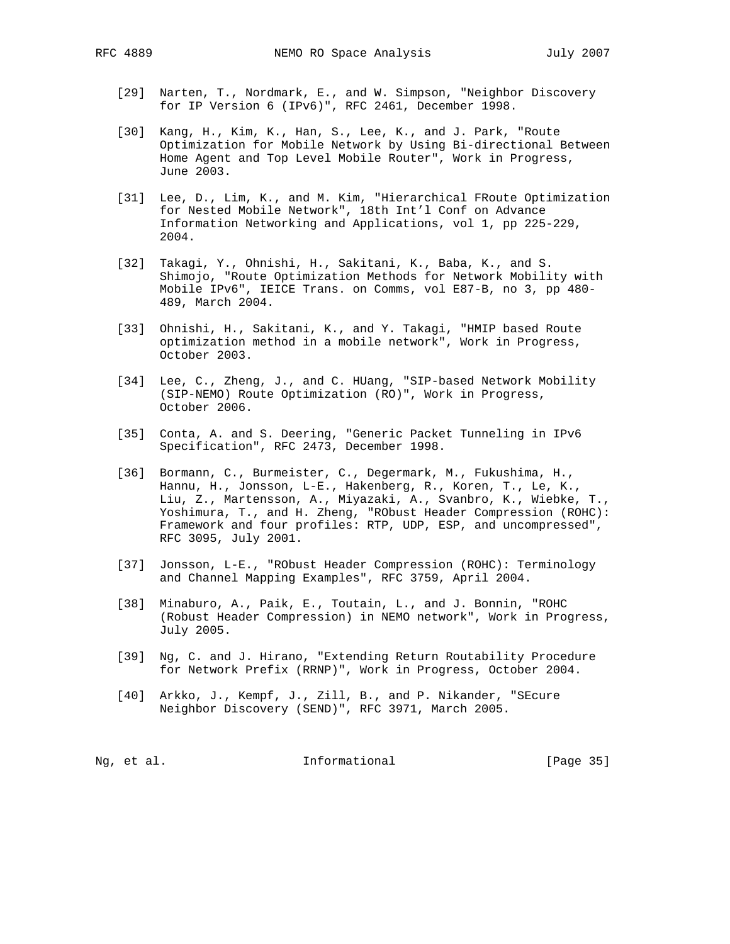- [29] Narten, T., Nordmark, E., and W. Simpson, "Neighbor Discovery for IP Version 6 (IPv6)", RFC 2461, December 1998.
- [30] Kang, H., Kim, K., Han, S., Lee, K., and J. Park, "Route Optimization for Mobile Network by Using Bi-directional Between Home Agent and Top Level Mobile Router", Work in Progress, June 2003.
- [31] Lee, D., Lim, K., and M. Kim, "Hierarchical FRoute Optimization for Nested Mobile Network", 18th Int'l Conf on Advance Information Networking and Applications, vol 1, pp 225-229, 2004.
- [32] Takagi, Y., Ohnishi, H., Sakitani, K., Baba, K., and S. Shimojo, "Route Optimization Methods for Network Mobility with Mobile IPv6", IEICE Trans. on Comms, vol E87-B, no 3, pp 480- 489, March 2004.
- [33] Ohnishi, H., Sakitani, K., and Y. Takagi, "HMIP based Route optimization method in a mobile network", Work in Progress, October 2003.
- [34] Lee, C., Zheng, J., and C. HUang, "SIP-based Network Mobility (SIP-NEMO) Route Optimization (RO)", Work in Progress, October 2006.
- [35] Conta, A. and S. Deering, "Generic Packet Tunneling in IPv6 Specification", RFC 2473, December 1998.
- [36] Bormann, C., Burmeister, C., Degermark, M., Fukushima, H., Hannu, H., Jonsson, L-E., Hakenberg, R., Koren, T., Le, K., Liu, Z., Martensson, A., Miyazaki, A., Svanbro, K., Wiebke, T., Yoshimura, T., and H. Zheng, "RObust Header Compression (ROHC): Framework and four profiles: RTP, UDP, ESP, and uncompressed", RFC 3095, July 2001.
- [37] Jonsson, L-E., "RObust Header Compression (ROHC): Terminology and Channel Mapping Examples", RFC 3759, April 2004.
- [38] Minaburo, A., Paik, E., Toutain, L., and J. Bonnin, "ROHC (Robust Header Compression) in NEMO network", Work in Progress, July 2005.
- [39] Ng, C. and J. Hirano, "Extending Return Routability Procedure for Network Prefix (RRNP)", Work in Progress, October 2004.
- [40] Arkko, J., Kempf, J., Zill, B., and P. Nikander, "SEcure Neighbor Discovery (SEND)", RFC 3971, March 2005.

| Ng, et al. |  |  | Informational | [Page 35] |  |
|------------|--|--|---------------|-----------|--|
|------------|--|--|---------------|-----------|--|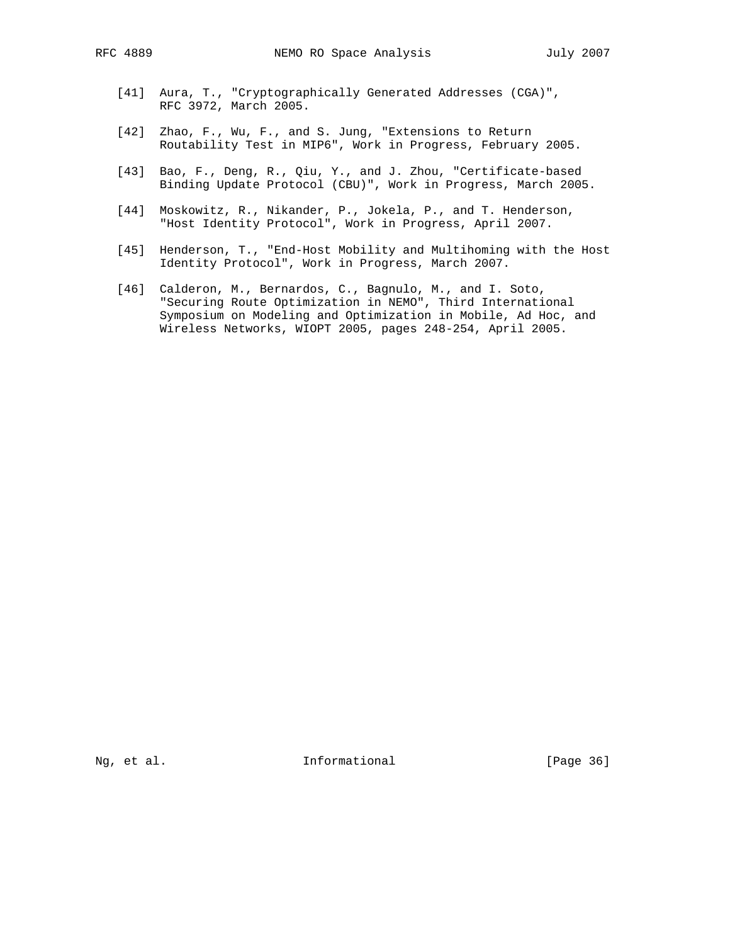- [41] Aura, T., "Cryptographically Generated Addresses (CGA)", RFC 3972, March 2005.
- [42] Zhao, F., Wu, F., and S. Jung, "Extensions to Return Routability Test in MIP6", Work in Progress, February 2005.
- [43] Bao, F., Deng, R., Qiu, Y., and J. Zhou, "Certificate-based Binding Update Protocol (CBU)", Work in Progress, March 2005.
- [44] Moskowitz, R., Nikander, P., Jokela, P., and T. Henderson, "Host Identity Protocol", Work in Progress, April 2007.
- [45] Henderson, T., "End-Host Mobility and Multihoming with the Host Identity Protocol", Work in Progress, March 2007.
- [46] Calderon, M., Bernardos, C., Bagnulo, M., and I. Soto, "Securing Route Optimization in NEMO", Third International Symposium on Modeling and Optimization in Mobile, Ad Hoc, and Wireless Networks, WIOPT 2005, pages 248-254, April 2005.

Ng, et al. 11. Informational 11. [Page 36]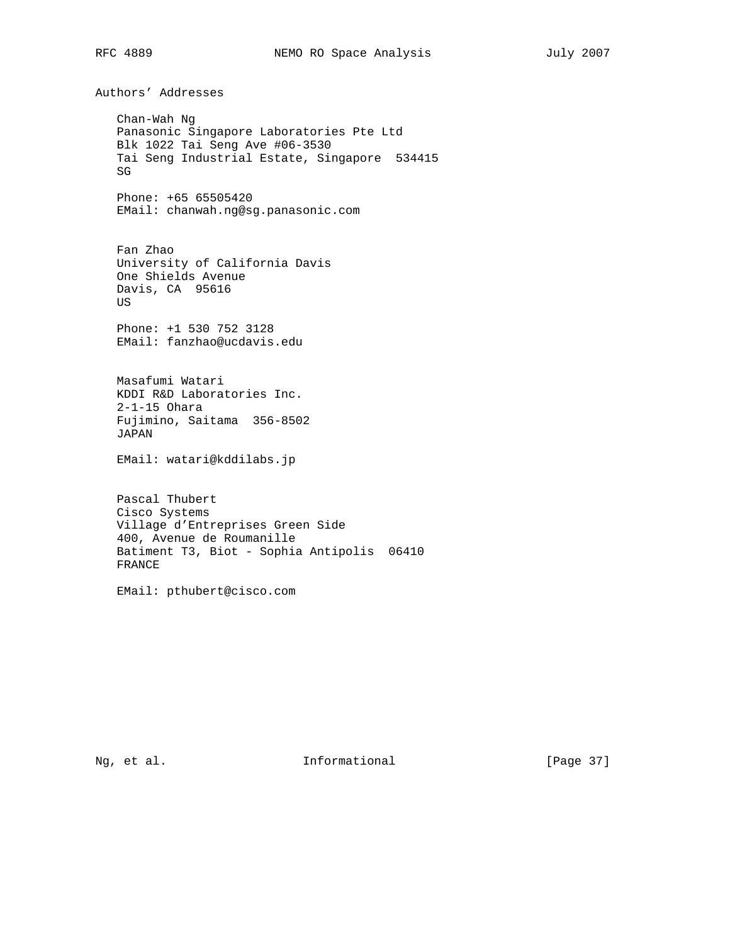Authors' Addresses Chan-Wah Ng Panasonic Singapore Laboratories Pte Ltd Blk 1022 Tai Seng Ave #06-3530 Tai Seng Industrial Estate, Singapore 534415 SG Phone: +65 65505420 EMail: chanwah.ng@sg.panasonic.com Fan Zhao University of California Davis One Shields Avenue Davis, CA 95616 US Phone: +1 530 752 3128 EMail: fanzhao@ucdavis.edu Masafumi Watari KDDI R&D Laboratories Inc. 2-1-15 Ohara Fujimino, Saitama 356-8502 JAPAN EMail: watari@kddilabs.jp Pascal Thubert Cisco Systems Village d'Entreprises Green Side 400, Avenue de Roumanille Batiment T3, Biot - Sophia Antipolis 06410 FRANCE EMail: pthubert@cisco.com

Ng, et al. 11. Informational 11. [Page 37]